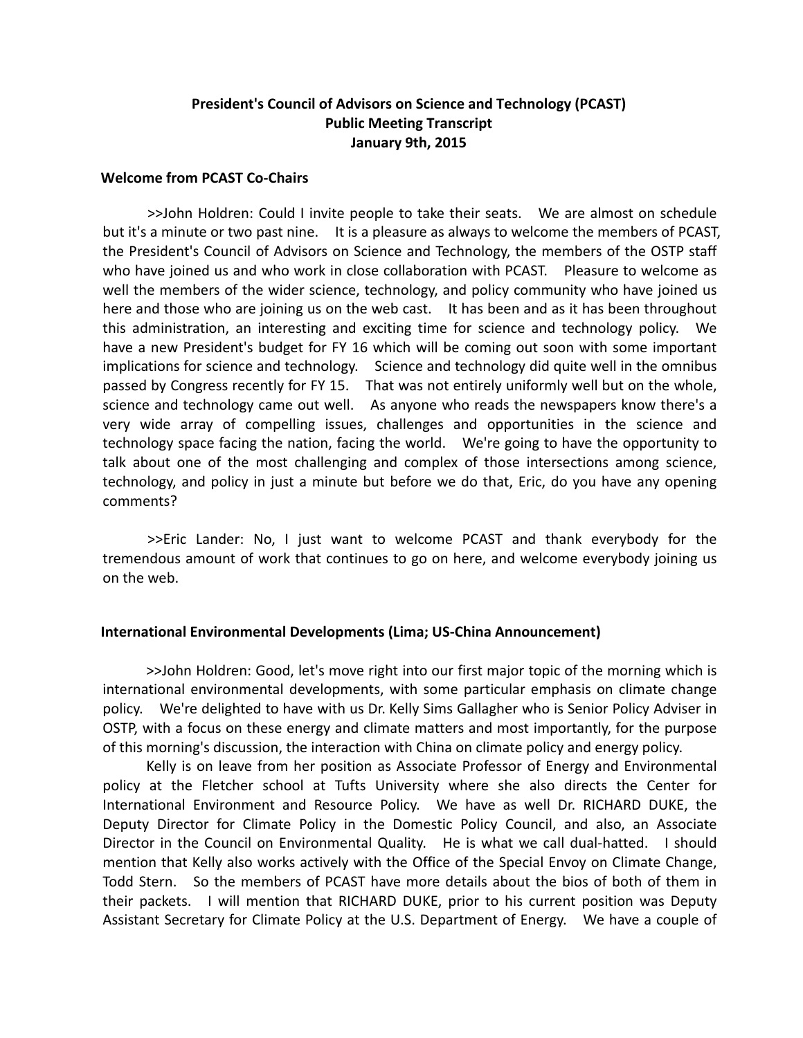# **President's Council of Advisors on Science and Technology (PCAST) Public Meeting Transcript January 9th, 2015**

# **Welcome from PCAST Co‐Chairs**

>>John Holdren: Could I invite people to take their seats. We are almost on schedule but it's a minute or two past nine. It is a pleasure as always to welcome the members of PCAST, the President's Council of Advisors on Science and Technology, the members of the OSTP staff who have joined us and who work in close collaboration with PCAST. Pleasure to welcome as well the members of the wider science, technology, and policy community who have joined us here and those who are joining us on the web cast. It has been and as it has been throughout this administration, an interesting and exciting time for science and technology policy. We have a new President's budget for FY 16 which will be coming out soon with some important implications for science and technology. Science and technology did quite well in the omnibus passed by Congress recently for FY 15. That was not entirely uniformly well but on the whole, science and technology came out well. As anyone who reads the newspapers know there's a very wide array of compelling issues, challenges and opportunities in the science and technology space facing the nation, facing the world. We're going to have the opportunity to talk about one of the most challenging and complex of those intersections among science, technology, and policy in just a minute but before we do that, Eric, do you have any opening comments?

>>Eric Lander: No, I just want to welcome PCAST and thank everybody for the tremendous amount of work that continues to go on here, and welcome everybody joining us on the web.

# **International Environmental Developments (Lima; US‐China Announcement)**

>>John Holdren: Good, let's move right into our first major topic of the morning which is international environmental developments, with some particular emphasis on climate change policy. We're delighted to have with us Dr. Kelly Sims Gallagher who is Senior Policy Adviser in OSTP, with a focus on these energy and climate matters and most importantly, for the purpose of this morning's discussion, the interaction with China on climate policy and energy policy.

Kelly is on leave from her position as Associate Professor of Energy and Environmental policy at the Fletcher school at Tufts University where she also directs the Center for International Environment and Resource Policy. We have as well Dr. RICHARD DUKE, the Deputy Director for Climate Policy in the Domestic Policy Council, and also, an Associate Director in the Council on Environmental Quality. He is what we call dual-hatted. I should mention that Kelly also works actively with the Office of the Special Envoy on Climate Change, Todd Stern. So the members of PCAST have more details about the bios of both of them in their packets. I will mention that RICHARD DUKE, prior to his current position was Deputy Assistant Secretary for Climate Policy at the U.S. Department of Energy. We have a couple of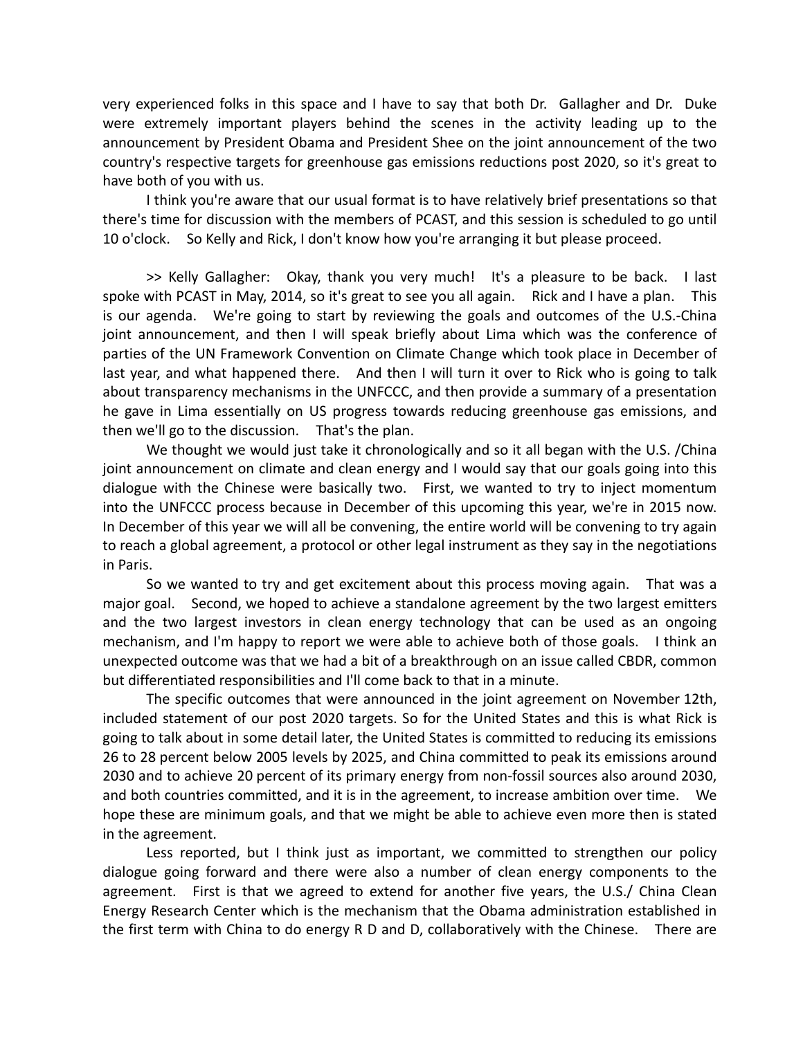very experienced folks in this space and I have to say that both Dr. Gallagher and Dr. Duke were extremely important players behind the scenes in the activity leading up to the announcement by President Obama and President Shee on the joint announcement of the two country's respective targets for greenhouse gas emissions reductions post 2020, so it's great to have both of you with us.

I think you're aware that our usual format is to have relatively brief presentations so that there's time for discussion with the members of PCAST, and this session is scheduled to go until 10 o'clock. So Kelly and Rick, I don't know how you're arranging it but please proceed.

>> Kelly Gallagher: Okay, thank you very much! It's a pleasure to be back. I last spoke with PCAST in May, 2014, so it's great to see you all again. Rick and I have a plan. This is our agenda. We're going to start by reviewing the goals and outcomes of the U.S.‐China joint announcement, and then I will speak briefly about Lima which was the conference of parties of the UN Framework Convention on Climate Change which took place in December of last year, and what happened there. And then I will turn it over to Rick who is going to talk about transparency mechanisms in the UNFCCC, and then provide a summary of a presentation he gave in Lima essentially on US progress towards reducing greenhouse gas emissions, and then we'll go to the discussion. That's the plan.

We thought we would just take it chronologically and so it all began with the U.S. /China joint announcement on climate and clean energy and I would say that our goals going into this dialogue with the Chinese were basically two. First, we wanted to try to inject momentum into the UNFCCC process because in December of this upcoming this year, we're in 2015 now. In December of this year we will all be convening, the entire world will be convening to try again to reach a global agreement, a protocol or other legal instrument as they say in the negotiations in Paris.

So we wanted to try and get excitement about this process moving again. That was a major goal. Second, we hoped to achieve a standalone agreement by the two largest emitters and the two largest investors in clean energy technology that can be used as an ongoing mechanism, and I'm happy to report we were able to achieve both of those goals. I think an unexpected outcome was that we had a bit of a breakthrough on an issue called CBDR, common but differentiated responsibilities and I'll come back to that in a minute.

The specific outcomes that were announced in the joint agreement on November 12th, included statement of our post 2020 targets. So for the United States and this is what Rick is going to talk about in some detail later, the United States is committed to reducing its emissions 26 to 28 percent below 2005 levels by 2025, and China committed to peak its emissions around 2030 and to achieve 20 percent of its primary energy from non‐fossil sources also around 2030, and both countries committed, and it is in the agreement, to increase ambition over time. We hope these are minimum goals, and that we might be able to achieve even more then is stated in the agreement.

Less reported, but I think just as important, we committed to strengthen our policy dialogue going forward and there were also a number of clean energy components to the agreement. First is that we agreed to extend for another five years, the U.S./ China Clean Energy Research Center which is the mechanism that the Obama administration established in the first term with China to do energy R D and D, collaboratively with the Chinese. There are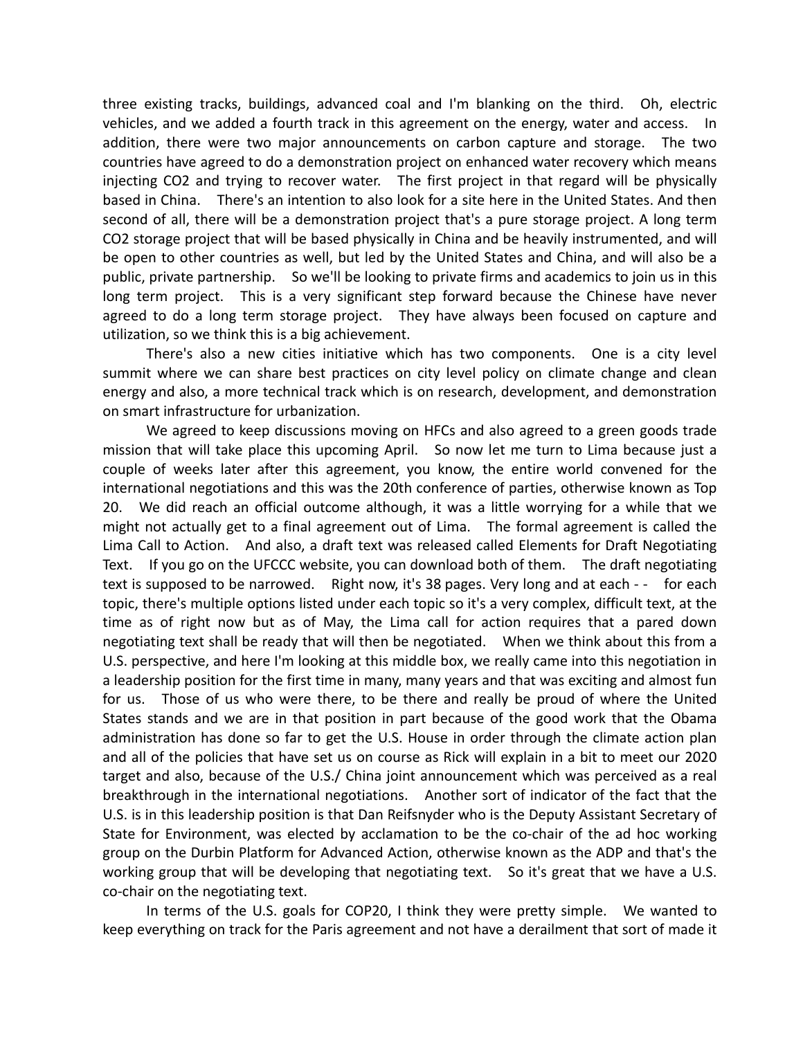three existing tracks, buildings, advanced coal and I'm blanking on the third. Oh, electric vehicles, and we added a fourth track in this agreement on the energy, water and access. In addition, there were two major announcements on carbon capture and storage. The two countries have agreed to do a demonstration project on enhanced water recovery which means injecting CO2 and trying to recover water. The first project in that regard will be physically based in China. There's an intention to also look for a site here in the United States. And then second of all, there will be a demonstration project that's a pure storage project. A long term CO2 storage project that will be based physically in China and be heavily instrumented, and will be open to other countries as well, but led by the United States and China, and will also be a public, private partnership. So we'll be looking to private firms and academics to join us in this long term project. This is a very significant step forward because the Chinese have never agreed to do a long term storage project. They have always been focused on capture and utilization, so we think this is a big achievement.

There's also a new cities initiative which has two components. One is a city level summit where we can share best practices on city level policy on climate change and clean energy and also, a more technical track which is on research, development, and demonstration on smart infrastructure for urbanization.

We agreed to keep discussions moving on HFCs and also agreed to a green goods trade mission that will take place this upcoming April. So now let me turn to Lima because just a couple of weeks later after this agreement, you know, the entire world convened for the international negotiations and this was the 20th conference of parties, otherwise known as Top 20. We did reach an official outcome although, it was a little worrying for a while that we might not actually get to a final agreement out of Lima. The formal agreement is called the Lima Call to Action. And also, a draft text was released called Elements for Draft Negotiating Text. If you go on the UFCCC website, you can download both of them. The draft negotiating text is supposed to be narrowed. Right now, it's 38 pages. Very long and at each - - for each topic, there's multiple options listed under each topic so it's a very complex, difficult text, at the time as of right now but as of May, the Lima call for action requires that a pared down negotiating text shall be ready that will then be negotiated. When we think about this from a U.S. perspective, and here I'm looking at this middle box, we really came into this negotiation in a leadership position for the first time in many, many years and that was exciting and almost fun for us. Those of us who were there, to be there and really be proud of where the United States stands and we are in that position in part because of the good work that the Obama administration has done so far to get the U.S. House in order through the climate action plan and all of the policies that have set us on course as Rick will explain in a bit to meet our 2020 target and also, because of the U.S./ China joint announcement which was perceived as a real breakthrough in the international negotiations. Another sort of indicator of the fact that the U.S. is in this leadership position is that Dan Reifsnyder who is the Deputy Assistant Secretary of State for Environment, was elected by acclamation to be the co-chair of the ad hoc working group on the Durbin Platform for Advanced Action, otherwise known as the ADP and that's the working group that will be developing that negotiating text. So it's great that we have a U.S. co‐chair on the negotiating text.

In terms of the U.S. goals for COP20, I think they were pretty simple. We wanted to keep everything on track for the Paris agreement and not have a derailment that sort of made it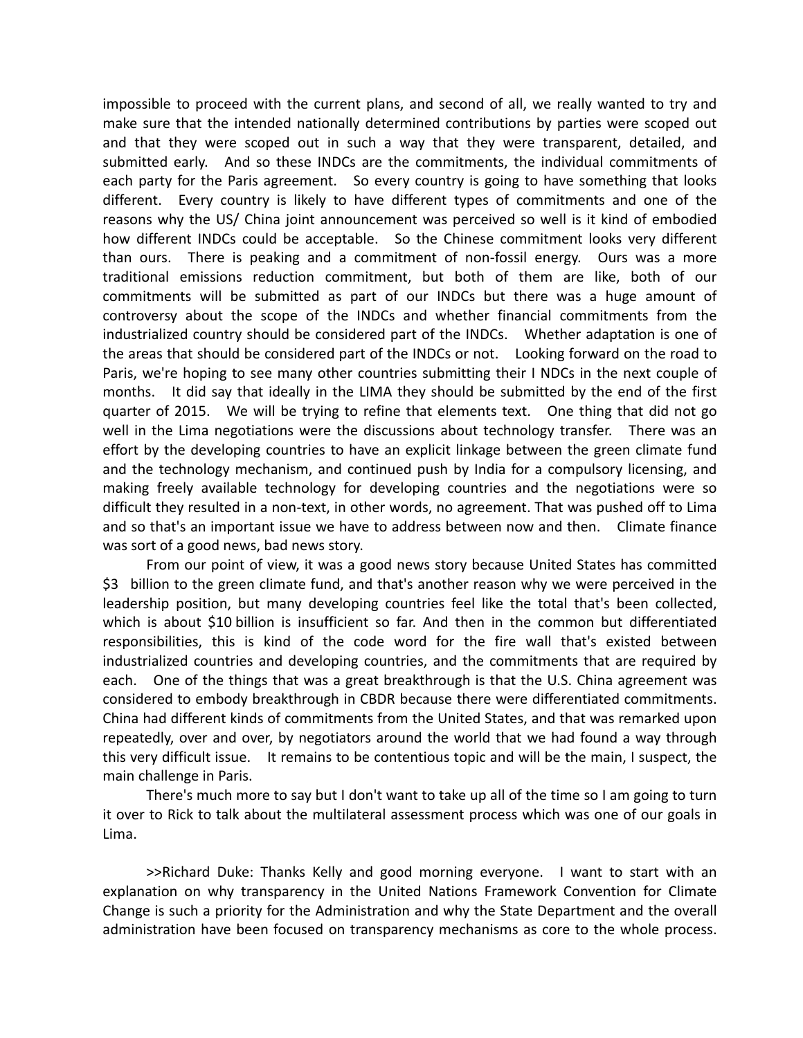impossible to proceed with the current plans, and second of all, we really wanted to try and make sure that the intended nationally determined contributions by parties were scoped out and that they were scoped out in such a way that they were transparent, detailed, and submitted early. And so these INDCs are the commitments, the individual commitments of each party for the Paris agreement. So every country is going to have something that looks different. Every country is likely to have different types of commitments and one of the reasons why the US/ China joint announcement was perceived so well is it kind of embodied how different INDCs could be acceptable. So the Chinese commitment looks very different than ours. There is peaking and a commitment of non-fossil energy. Ours was a more traditional emissions reduction commitment, but both of them are like, both of our commitments will be submitted as part of our INDCs but there was a huge amount of controversy about the scope of the INDCs and whether financial commitments from the industrialized country should be considered part of the INDCs. Whether adaptation is one of the areas that should be considered part of the INDCs or not. Looking forward on the road to Paris, we're hoping to see many other countries submitting their I NDCs in the next couple of months. It did say that ideally in the LIMA they should be submitted by the end of the first quarter of 2015. We will be trying to refine that elements text. One thing that did not go well in the Lima negotiations were the discussions about technology transfer. There was an effort by the developing countries to have an explicit linkage between the green climate fund and the technology mechanism, and continued push by India for a compulsory licensing, and making freely available technology for developing countries and the negotiations were so difficult they resulted in a non‐text, in other words, no agreement. That was pushed off to Lima and so that's an important issue we have to address between now and then. Climate finance was sort of a good news, bad news story.

From our point of view, it was a good news story because United States has committed \$3 billion to the green climate fund, and that's another reason why we were perceived in the leadership position, but many developing countries feel like the total that's been collected, which is about \$10 billion is insufficient so far. And then in the common but differentiated responsibilities, this is kind of the code word for the fire wall that's existed between industrialized countries and developing countries, and the commitments that are required by each. One of the things that was a great breakthrough is that the U.S. China agreement was considered to embody breakthrough in CBDR because there were differentiated commitments. China had different kinds of commitments from the United States, and that was remarked upon repeatedly, over and over, by negotiators around the world that we had found a way through this very difficult issue. It remains to be contentious topic and will be the main, I suspect, the main challenge in Paris.

There's much more to say but I don't want to take up all of the time so I am going to turn it over to Rick to talk about the multilateral assessment process which was one of our goals in Lima.

>>Richard Duke: Thanks Kelly and good morning everyone. I want to start with an explanation on why transparency in the United Nations Framework Convention for Climate Change is such a priority for the Administration and why the State Department and the overall administration have been focused on transparency mechanisms as core to the whole process.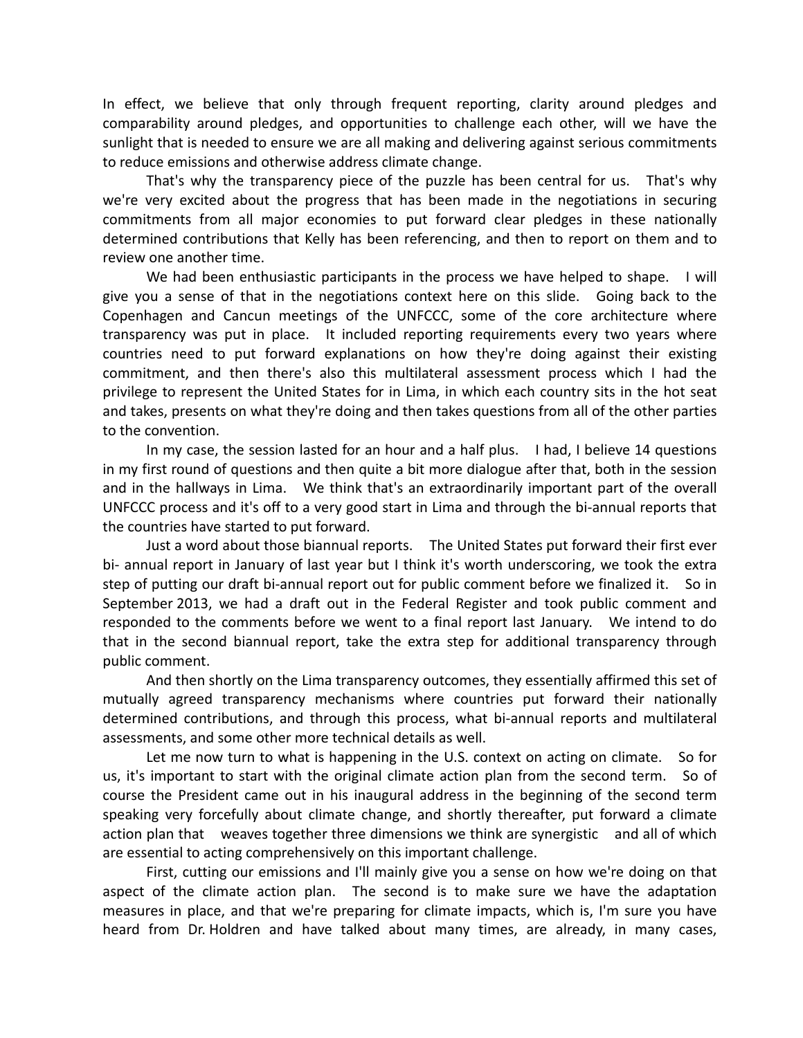In effect, we believe that only through frequent reporting, clarity around pledges and comparability around pledges, and opportunities to challenge each other, will we have the sunlight that is needed to ensure we are all making and delivering against serious commitments to reduce emissions and otherwise address climate change.

That's why the transparency piece of the puzzle has been central for us. That's why we're very excited about the progress that has been made in the negotiations in securing commitments from all major economies to put forward clear pledges in these nationally determined contributions that Kelly has been referencing, and then to report on them and to review one another time.

We had been enthusiastic participants in the process we have helped to shape. I will give you a sense of that in the negotiations context here on this slide. Going back to the Copenhagen and Cancun meetings of the UNFCCC, some of the core architecture where transparency was put in place. It included reporting requirements every two years where countries need to put forward explanations on how they're doing against their existing commitment, and then there's also this multilateral assessment process which I had the privilege to represent the United States for in Lima, in which each country sits in the hot seat and takes, presents on what they're doing and then takes questions from all of the other parties to the convention.

In my case, the session lasted for an hour and a half plus. I had, I believe 14 questions in my first round of questions and then quite a bit more dialogue after that, both in the session and in the hallways in Lima. We think that's an extraordinarily important part of the overall UNFCCC process and it's off to a very good start in Lima and through the bi‐annual reports that the countries have started to put forward.

Just a word about those biannual reports. The United States put forward their first ever bi- annual report in January of last year but I think it's worth underscoring, we took the extra step of putting our draft bi-annual report out for public comment before we finalized it. So in September 2013, we had a draft out in the Federal Register and took public comment and responded to the comments before we went to a final report last January. We intend to do that in the second biannual report, take the extra step for additional transparency through public comment.

And then shortly on the Lima transparency outcomes, they essentially affirmed this set of mutually agreed transparency mechanisms where countries put forward their nationally determined contributions, and through this process, what bi‐annual reports and multilateral assessments, and some other more technical details as well.

Let me now turn to what is happening in the U.S. context on acting on climate. So for us, it's important to start with the original climate action plan from the second term. So of course the President came out in his inaugural address in the beginning of the second term speaking very forcefully about climate change, and shortly thereafter, put forward a climate action plan that weaves together three dimensions we think are synergistic and all of which are essential to acting comprehensively on this important challenge.

First, cutting our emissions and I'll mainly give you a sense on how we're doing on that aspect of the climate action plan. The second is to make sure we have the adaptation measures in place, and that we're preparing for climate impacts, which is, I'm sure you have heard from Dr. Holdren and have talked about many times, are already, in many cases,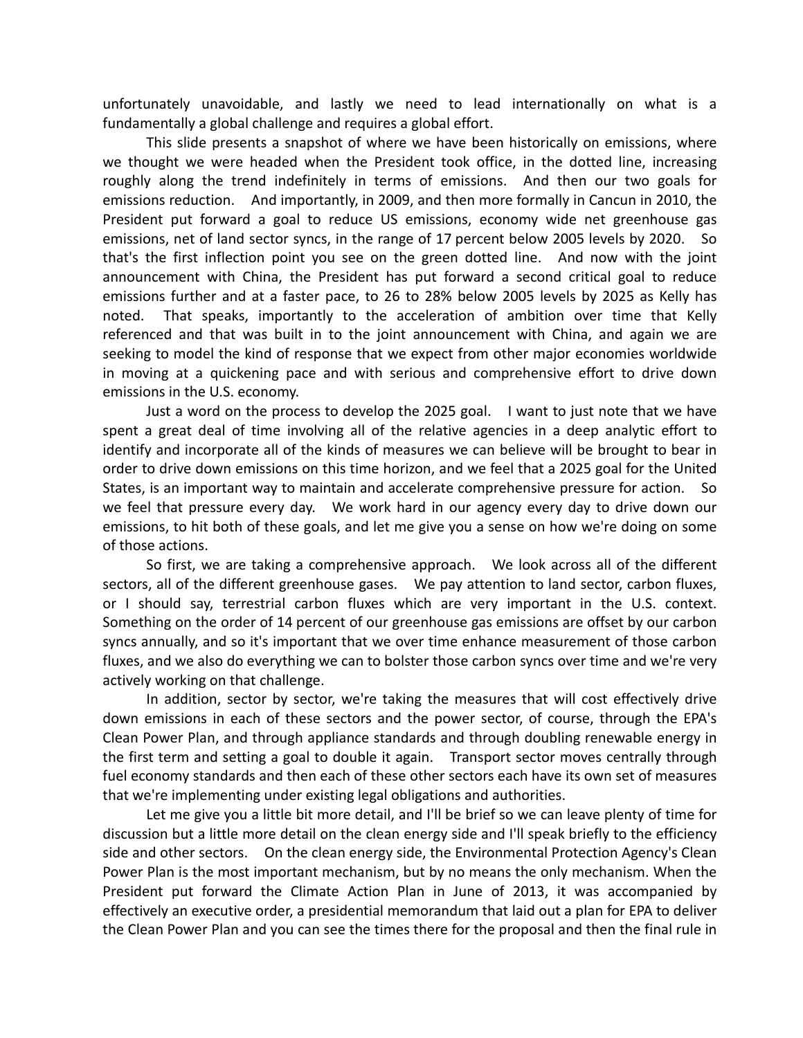unfortunately unavoidable, and lastly we need to lead internationally on what is a fundamentally a global challenge and requires a global effort.

This slide presents a snapshot of where we have been historically on emissions, where we thought we were headed when the President took office, in the dotted line, increasing roughly along the trend indefinitely in terms of emissions. And then our two goals for emissions reduction. And importantly, in 2009, and then more formally in Cancun in 2010, the President put forward a goal to reduce US emissions, economy wide net greenhouse gas emissions, net of land sector syncs, in the range of 17 percent below 2005 levels by 2020. So that's the first inflection point you see on the green dotted line. And now with the joint announcement with China, the President has put forward a second critical goal to reduce emissions further and at a faster pace, to 26 to 28% below 2005 levels by 2025 as Kelly has noted. That speaks, importantly to the acceleration of ambition over time that Kelly referenced and that was built in to the joint announcement with China, and again we are seeking to model the kind of response that we expect from other major economies worldwide in moving at a quickening pace and with serious and comprehensive effort to drive down emissions in the U.S. economy.

Just a word on the process to develop the 2025 goal. I want to just note that we have spent a great deal of time involving all of the relative agencies in a deep analytic effort to identify and incorporate all of the kinds of measures we can believe will be brought to bear in order to drive down emissions on this time horizon, and we feel that a 2025 goal for the United States, is an important way to maintain and accelerate comprehensive pressure for action. So we feel that pressure every day. We work hard in our agency every day to drive down our emissions, to hit both of these goals, and let me give you a sense on how we're doing on some of those actions.

So first, we are taking a comprehensive approach. We look across all of the different sectors, all of the different greenhouse gases. We pay attention to land sector, carbon fluxes, or I should say, terrestrial carbon fluxes which are very important in the U.S. context. Something on the order of 14 percent of our greenhouse gas emissions are offset by our carbon syncs annually, and so it's important that we over time enhance measurement of those carbon fluxes, and we also do everything we can to bolster those carbon syncs over time and we're very actively working on that challenge.

In addition, sector by sector, we're taking the measures that will cost effectively drive down emissions in each of these sectors and the power sector, of course, through the EPA's Clean Power Plan, and through appliance standards and through doubling renewable energy in the first term and setting a goal to double it again. Transport sector moves centrally through fuel economy standards and then each of these other sectors each have its own set of measures that we're implementing under existing legal obligations and authorities.

Let me give you a little bit more detail, and I'll be brief so we can leave plenty of time for discussion but a little more detail on the clean energy side and I'll speak briefly to the efficiency side and other sectors. On the clean energy side, the Environmental Protection Agency's Clean Power Plan is the most important mechanism, but by no means the only mechanism. When the President put forward the Climate Action Plan in June of 2013, it was accompanied by effectively an executive order, a presidential memorandum that laid out a plan for EPA to deliver the Clean Power Plan and you can see the times there for the proposal and then the final rule in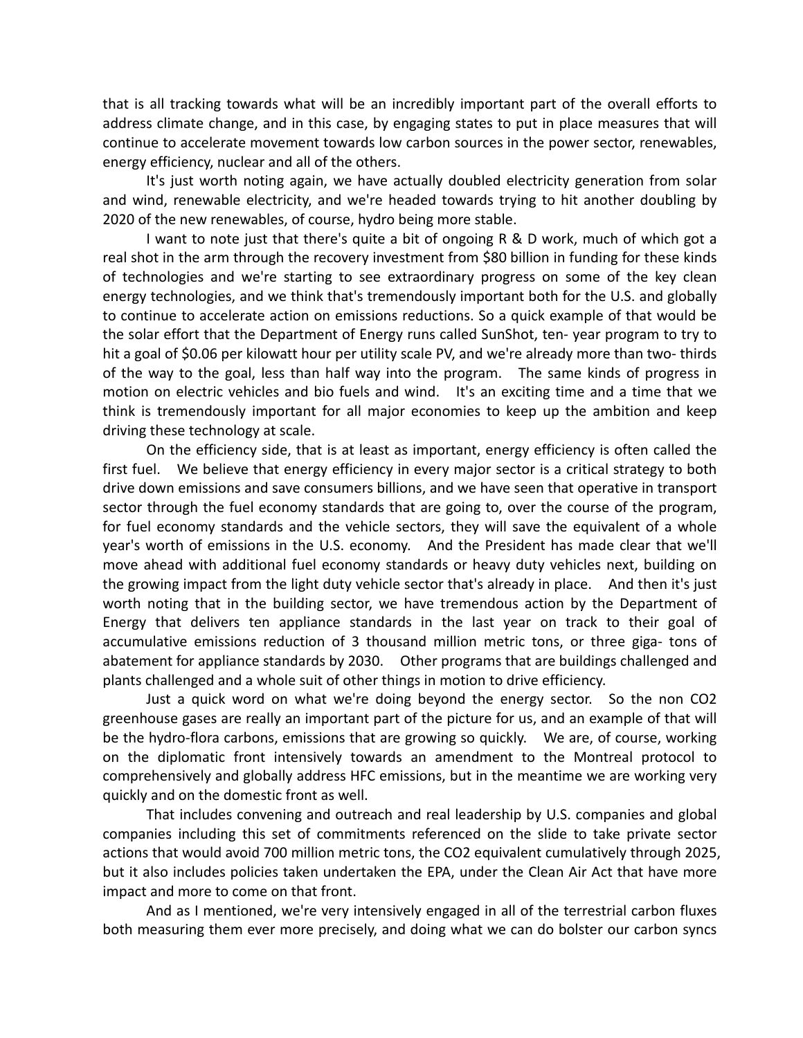that is all tracking towards what will be an incredibly important part of the overall efforts to address climate change, and in this case, by engaging states to put in place measures that will continue to accelerate movement towards low carbon sources in the power sector, renewables, energy efficiency, nuclear and all of the others.

It's just worth noting again, we have actually doubled electricity generation from solar and wind, renewable electricity, and we're headed towards trying to hit another doubling by 2020 of the new renewables, of course, hydro being more stable.

I want to note just that there's quite a bit of ongoing R & D work, much of which got a real shot in the arm through the recovery investment from \$80 billion in funding for these kinds of technologies and we're starting to see extraordinary progress on some of the key clean energy technologies, and we think that's tremendously important both for the U.S. and globally to continue to accelerate action on emissions reductions. So a quick example of that would be the solar effort that the Department of Energy runs called SunShot, ten‐ year program to try to hit a goal of \$0.06 per kilowatt hour per utility scale PV, and we're already more than two- thirds of the way to the goal, less than half way into the program. The same kinds of progress in motion on electric vehicles and bio fuels and wind. It's an exciting time and a time that we think is tremendously important for all major economies to keep up the ambition and keep driving these technology at scale.

On the efficiency side, that is at least as important, energy efficiency is often called the first fuel. We believe that energy efficiency in every major sector is a critical strategy to both drive down emissions and save consumers billions, and we have seen that operative in transport sector through the fuel economy standards that are going to, over the course of the program, for fuel economy standards and the vehicle sectors, they will save the equivalent of a whole year's worth of emissions in the U.S. economy. And the President has made clear that we'll move ahead with additional fuel economy standards or heavy duty vehicles next, building on the growing impact from the light duty vehicle sector that's already in place. And then it's just worth noting that in the building sector, we have tremendous action by the Department of Energy that delivers ten appliance standards in the last year on track to their goal of accumulative emissions reduction of 3 thousand million metric tons, or three giga- tons of abatement for appliance standards by 2030. Other programs that are buildings challenged and plants challenged and a whole suit of other things in motion to drive efficiency.

Just a quick word on what we're doing beyond the energy sector. So the non CO2 greenhouse gases are really an important part of the picture for us, and an example of that will be the hydro-flora carbons, emissions that are growing so quickly. We are, of course, working on the diplomatic front intensively towards an amendment to the Montreal protocol to comprehensively and globally address HFC emissions, but in the meantime we are working very quickly and on the domestic front as well.

That includes convening and outreach and real leadership by U.S. companies and global companies including this set of commitments referenced on the slide to take private sector actions that would avoid 700 million metric tons, the CO2 equivalent cumulatively through 2025, but it also includes policies taken undertaken the EPA, under the Clean Air Act that have more impact and more to come on that front.

And as I mentioned, we're very intensively engaged in all of the terrestrial carbon fluxes both measuring them ever more precisely, and doing what we can do bolster our carbon syncs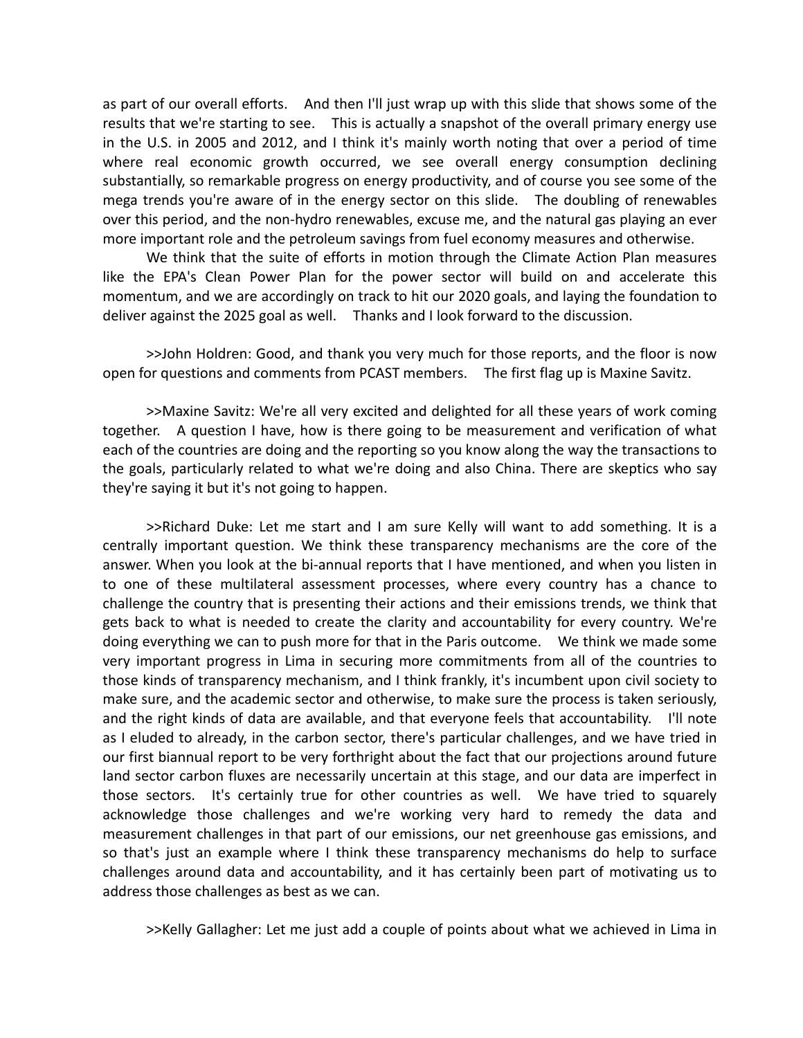as part of our overall efforts. And then I'll just wrap up with this slide that shows some of the results that we're starting to see. This is actually a snapshot of the overall primary energy use in the U.S. in 2005 and 2012, and I think it's mainly worth noting that over a period of time where real economic growth occurred, we see overall energy consumption declining substantially, so remarkable progress on energy productivity, and of course you see some of the mega trends you're aware of in the energy sector on this slide. The doubling of renewables over this period, and the non‐hydro renewables, excuse me, and the natural gas playing an ever more important role and the petroleum savings from fuel economy measures and otherwise.

We think that the suite of efforts in motion through the Climate Action Plan measures like the EPA's Clean Power Plan for the power sector will build on and accelerate this momentum, and we are accordingly on track to hit our 2020 goals, and laying the foundation to deliver against the 2025 goal as well. Thanks and I look forward to the discussion.

>>John Holdren: Good, and thank you very much for those reports, and the floor is now open for questions and comments from PCAST members. The first flag up is Maxine Savitz.

>>Maxine Savitz: We're all very excited and delighted for all these years of work coming together. A question I have, how is there going to be measurement and verification of what each of the countries are doing and the reporting so you know along the way the transactions to the goals, particularly related to what we're doing and also China. There are skeptics who say they're saying it but it's not going to happen.

>>Richard Duke: Let me start and I am sure Kelly will want to add something. It is a centrally important question. We think these transparency mechanisms are the core of the answer. When you look at the bi-annual reports that I have mentioned, and when you listen in to one of these multilateral assessment processes, where every country has a chance to challenge the country that is presenting their actions and their emissions trends, we think that gets back to what is needed to create the clarity and accountability for every country. We're doing everything we can to push more for that in the Paris outcome. We think we made some very important progress in Lima in securing more commitments from all of the countries to those kinds of transparency mechanism, and I think frankly, it's incumbent upon civil society to make sure, and the academic sector and otherwise, to make sure the process is taken seriously, and the right kinds of data are available, and that everyone feels that accountability. I'll note as I eluded to already, in the carbon sector, there's particular challenges, and we have tried in our first biannual report to be very forthright about the fact that our projections around future land sector carbon fluxes are necessarily uncertain at this stage, and our data are imperfect in those sectors. It's certainly true for other countries as well. We have tried to squarely acknowledge those challenges and we're working very hard to remedy the data and measurement challenges in that part of our emissions, our net greenhouse gas emissions, and so that's just an example where I think these transparency mechanisms do help to surface challenges around data and accountability, and it has certainly been part of motivating us to address those challenges as best as we can.

>>Kelly Gallagher: Let me just add a couple of points about what we achieved in Lima in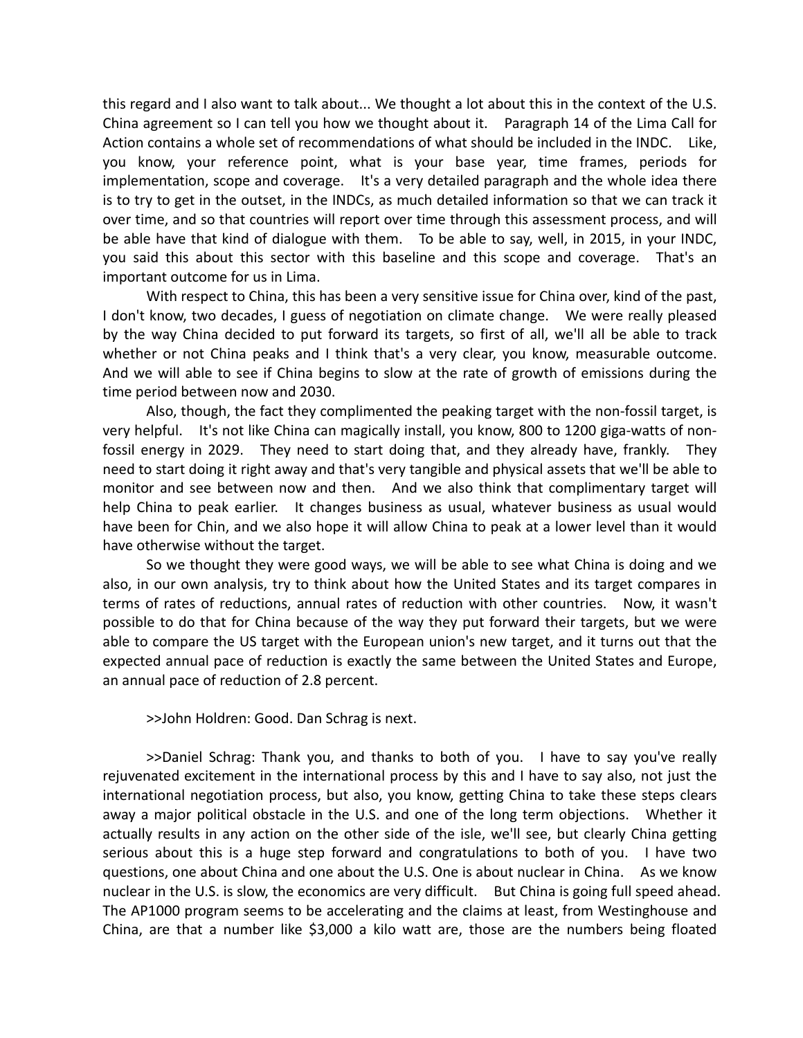this regard and I also want to talk about... We thought a lot about this in the context of the U.S. China agreement so I can tell you how we thought about it. Paragraph 14 of the Lima Call for Action contains a whole set of recommendations of what should be included in the INDC. Like, you know, your reference point, what is your base year, time frames, periods for implementation, scope and coverage. It's a very detailed paragraph and the whole idea there is to try to get in the outset, in the INDCs, as much detailed information so that we can track it over time, and so that countries will report over time through this assessment process, and will be able have that kind of dialogue with them. To be able to say, well, in 2015, in your INDC, you said this about this sector with this baseline and this scope and coverage. That's an important outcome for us in Lima.

With respect to China, this has been a very sensitive issue for China over, kind of the past, I don't know, two decades, I guess of negotiation on climate change. We were really pleased by the way China decided to put forward its targets, so first of all, we'll all be able to track whether or not China peaks and I think that's a very clear, you know, measurable outcome. And we will able to see if China begins to slow at the rate of growth of emissions during the time period between now and 2030.

Also, though, the fact they complimented the peaking target with the non‐fossil target, is very helpful. It's not like China can magically install, you know, 800 to 1200 giga-watts of nonfossil energy in 2029. They need to start doing that, and they already have, frankly. They need to start doing it right away and that's very tangible and physical assets that we'll be able to monitor and see between now and then. And we also think that complimentary target will help China to peak earlier. It changes business as usual, whatever business as usual would have been for Chin, and we also hope it will allow China to peak at a lower level than it would have otherwise without the target.

So we thought they were good ways, we will be able to see what China is doing and we also, in our own analysis, try to think about how the United States and its target compares in terms of rates of reductions, annual rates of reduction with other countries. Now, it wasn't possible to do that for China because of the way they put forward their targets, but we were able to compare the US target with the European union's new target, and it turns out that the expected annual pace of reduction is exactly the same between the United States and Europe, an annual pace of reduction of 2.8 percent.

>>John Holdren: Good. Dan Schrag is next.

>>Daniel Schrag: Thank you, and thanks to both of you. I have to say you've really rejuvenated excitement in the international process by this and I have to say also, not just the international negotiation process, but also, you know, getting China to take these steps clears away a major political obstacle in the U.S. and one of the long term objections. Whether it actually results in any action on the other side of the isle, we'll see, but clearly China getting serious about this is a huge step forward and congratulations to both of you. I have two questions, one about China and one about the U.S. One is about nuclear in China. As we know nuclear in the U.S. is slow, the economics are very difficult. But China is going full speed ahead. The AP1000 program seems to be accelerating and the claims at least, from Westinghouse and China, are that a number like \$3,000 a kilo watt are, those are the numbers being floated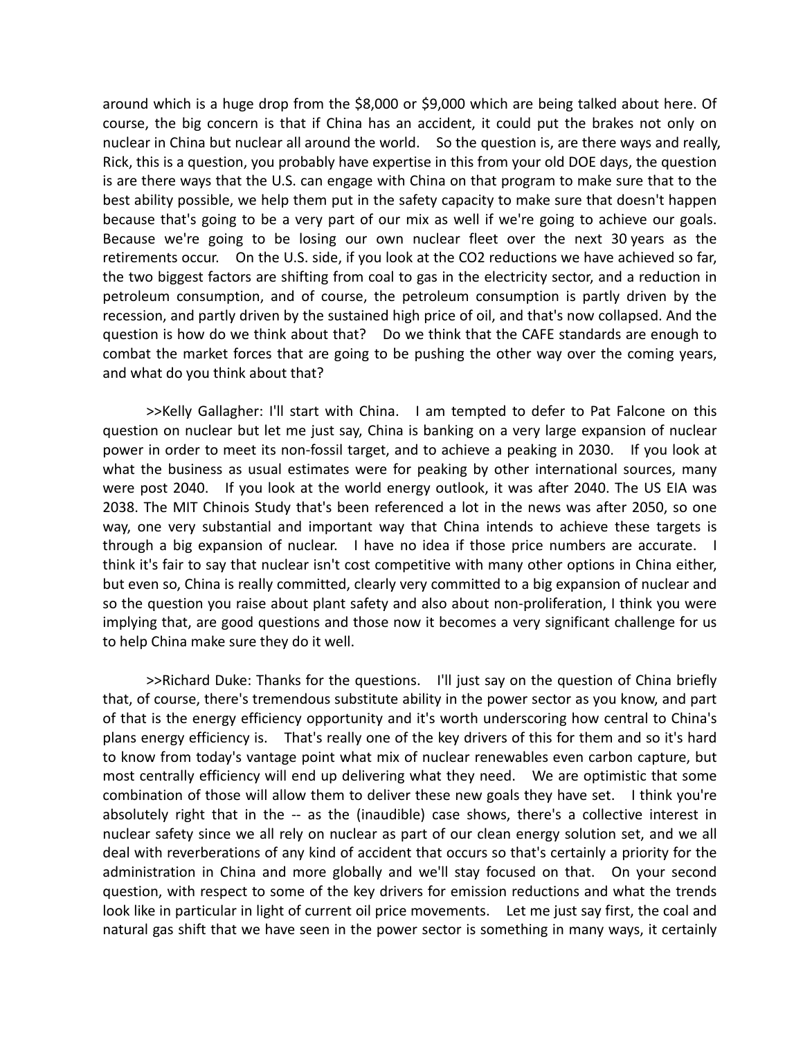around which is a huge drop from the \$8,000 or \$9,000 which are being talked about here. Of course, the big concern is that if China has an accident, it could put the brakes not only on nuclear in China but nuclear all around the world. So the question is, are there ways and really, Rick, this is a question, you probably have expertise in this from your old DOE days, the question is are there ways that the U.S. can engage with China on that program to make sure that to the best ability possible, we help them put in the safety capacity to make sure that doesn't happen because that's going to be a very part of our mix as well if we're going to achieve our goals. Because we're going to be losing our own nuclear fleet over the next 30 years as the retirements occur. On the U.S. side, if you look at the CO2 reductions we have achieved so far, the two biggest factors are shifting from coal to gas in the electricity sector, and a reduction in petroleum consumption, and of course, the petroleum consumption is partly driven by the recession, and partly driven by the sustained high price of oil, and that's now collapsed. And the question is how do we think about that? Do we think that the CAFE standards are enough to combat the market forces that are going to be pushing the other way over the coming years, and what do you think about that?

>>Kelly Gallagher: I'll start with China. I am tempted to defer to Pat Falcone on this question on nuclear but let me just say, China is banking on a very large expansion of nuclear power in order to meet its non‐fossil target, and to achieve a peaking in 2030. If you look at what the business as usual estimates were for peaking by other international sources, many were post 2040. If you look at the world energy outlook, it was after 2040. The US EIA was 2038. The MIT Chinois Study that's been referenced a lot in the news was after 2050, so one way, one very substantial and important way that China intends to achieve these targets is through a big expansion of nuclear. I have no idea if those price numbers are accurate. I think it's fair to say that nuclear isn't cost competitive with many other options in China either, but even so, China is really committed, clearly very committed to a big expansion of nuclear and so the question you raise about plant safety and also about non‐proliferation, I think you were implying that, are good questions and those now it becomes a very significant challenge for us to help China make sure they do it well.

>>Richard Duke: Thanks for the questions. I'll just say on the question of China briefly that, of course, there's tremendous substitute ability in the power sector as you know, and part of that is the energy efficiency opportunity and it's worth underscoring how central to China's plans energy efficiency is. That's really one of the key drivers of this for them and so it's hard to know from today's vantage point what mix of nuclear renewables even carbon capture, but most centrally efficiency will end up delivering what they need. We are optimistic that some combination of those will allow them to deliver these new goals they have set. I think you're absolutely right that in the -- as the (inaudible) case shows, there's a collective interest in nuclear safety since we all rely on nuclear as part of our clean energy solution set, and we all deal with reverberations of any kind of accident that occurs so that's certainly a priority for the administration in China and more globally and we'll stay focused on that. On your second question, with respect to some of the key drivers for emission reductions and what the trends look like in particular in light of current oil price movements. Let me just say first, the coal and natural gas shift that we have seen in the power sector is something in many ways, it certainly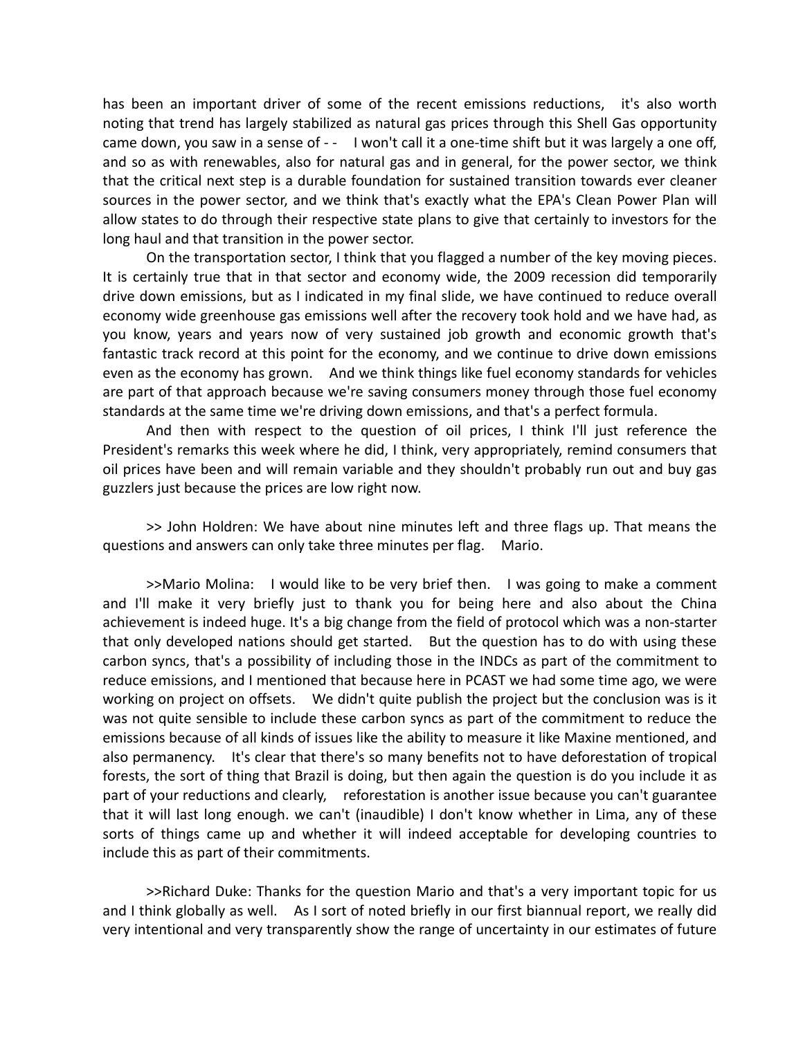has been an important driver of some of the recent emissions reductions, it's also worth noting that trend has largely stabilized as natural gas prices through this Shell Gas opportunity came down, you saw in a sense of - - I won't call it a one-time shift but it was largely a one off, and so as with renewables, also for natural gas and in general, for the power sector, we think that the critical next step is a durable foundation for sustained transition towards ever cleaner sources in the power sector, and we think that's exactly what the EPA's Clean Power Plan will allow states to do through their respective state plans to give that certainly to investors for the long haul and that transition in the power sector.

On the transportation sector, I think that you flagged a number of the key moving pieces. It is certainly true that in that sector and economy wide, the 2009 recession did temporarily drive down emissions, but as I indicated in my final slide, we have continued to reduce overall economy wide greenhouse gas emissions well after the recovery took hold and we have had, as you know, years and years now of very sustained job growth and economic growth that's fantastic track record at this point for the economy, and we continue to drive down emissions even as the economy has grown. And we think things like fuel economy standards for vehicles are part of that approach because we're saving consumers money through those fuel economy standards at the same time we're driving down emissions, and that's a perfect formula.

And then with respect to the question of oil prices, I think I'll just reference the President's remarks this week where he did, I think, very appropriately, remind consumers that oil prices have been and will remain variable and they shouldn't probably run out and buy gas guzzlers just because the prices are low right now.

>> John Holdren: We have about nine minutes left and three flags up. That means the questions and answers can only take three minutes per flag. Mario.

>>Mario Molina: I would like to be very brief then. I was going to make a comment and I'll make it very briefly just to thank you for being here and also about the China achievement is indeed huge. It's a big change from the field of protocol which was a non‐starter that only developed nations should get started. But the question has to do with using these carbon syncs, that's a possibility of including those in the INDCs as part of the commitment to reduce emissions, and I mentioned that because here in PCAST we had some time ago, we were working on project on offsets. We didn't quite publish the project but the conclusion was is it was not quite sensible to include these carbon syncs as part of the commitment to reduce the emissions because of all kinds of issues like the ability to measure it like Maxine mentioned, and also permanency. It's clear that there's so many benefits not to have deforestation of tropical forests, the sort of thing that Brazil is doing, but then again the question is do you include it as part of your reductions and clearly, reforestation is another issue because you can't guarantee that it will last long enough. we can't (inaudible) I don't know whether in Lima, any of these sorts of things came up and whether it will indeed acceptable for developing countries to include this as part of their commitments.

>>Richard Duke: Thanks for the question Mario and that's a very important topic for us and I think globally as well. As I sort of noted briefly in our first biannual report, we really did very intentional and very transparently show the range of uncertainty in our estimates of future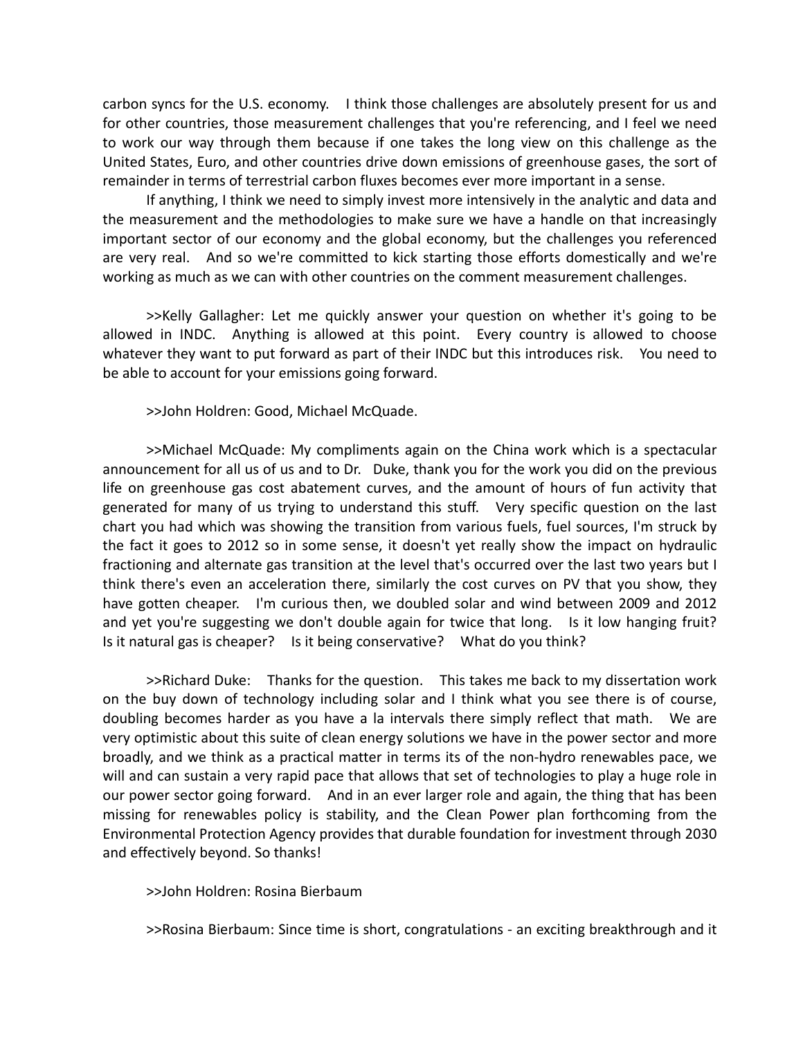carbon syncs for the U.S. economy. I think those challenges are absolutely present for us and for other countries, those measurement challenges that you're referencing, and I feel we need to work our way through them because if one takes the long view on this challenge as the United States, Euro, and other countries drive down emissions of greenhouse gases, the sort of remainder in terms of terrestrial carbon fluxes becomes ever more important in a sense.

If anything, I think we need to simply invest more intensively in the analytic and data and the measurement and the methodologies to make sure we have a handle on that increasingly important sector of our economy and the global economy, but the challenges you referenced are very real. And so we're committed to kick starting those efforts domestically and we're working as much as we can with other countries on the comment measurement challenges.

>>Kelly Gallagher: Let me quickly answer your question on whether it's going to be allowed in INDC. Anything is allowed at this point. Every country is allowed to choose whatever they want to put forward as part of their INDC but this introduces risk. You need to be able to account for your emissions going forward.

>>John Holdren: Good, Michael McQuade.

>>Michael McQuade: My compliments again on the China work which is a spectacular announcement for all us of us and to Dr. Duke, thank you for the work you did on the previous life on greenhouse gas cost abatement curves, and the amount of hours of fun activity that generated for many of us trying to understand this stuff. Very specific question on the last chart you had which was showing the transition from various fuels, fuel sources, I'm struck by the fact it goes to 2012 so in some sense, it doesn't yet really show the impact on hydraulic fractioning and alternate gas transition at the level that's occurred over the last two years but I think there's even an acceleration there, similarly the cost curves on PV that you show, they have gotten cheaper. I'm curious then, we doubled solar and wind between 2009 and 2012 and yet you're suggesting we don't double again for twice that long. Is it low hanging fruit? Is it natural gas is cheaper? Is it being conservative? What do you think?

>>Richard Duke: Thanks for the question. This takes me back to my dissertation work on the buy down of technology including solar and I think what you see there is of course, doubling becomes harder as you have a la intervals there simply reflect that math. We are very optimistic about this suite of clean energy solutions we have in the power sector and more broadly, and we think as a practical matter in terms its of the non‐hydro renewables pace, we will and can sustain a very rapid pace that allows that set of technologies to play a huge role in our power sector going forward. And in an ever larger role and again, the thing that has been missing for renewables policy is stability, and the Clean Power plan forthcoming from the Environmental Protection Agency provides that durable foundation for investment through 2030 and effectively beyond. So thanks!

>>John Holdren: Rosina Bierbaum

>>Rosina Bierbaum: Since time is short, congratulations ‐ an exciting breakthrough and it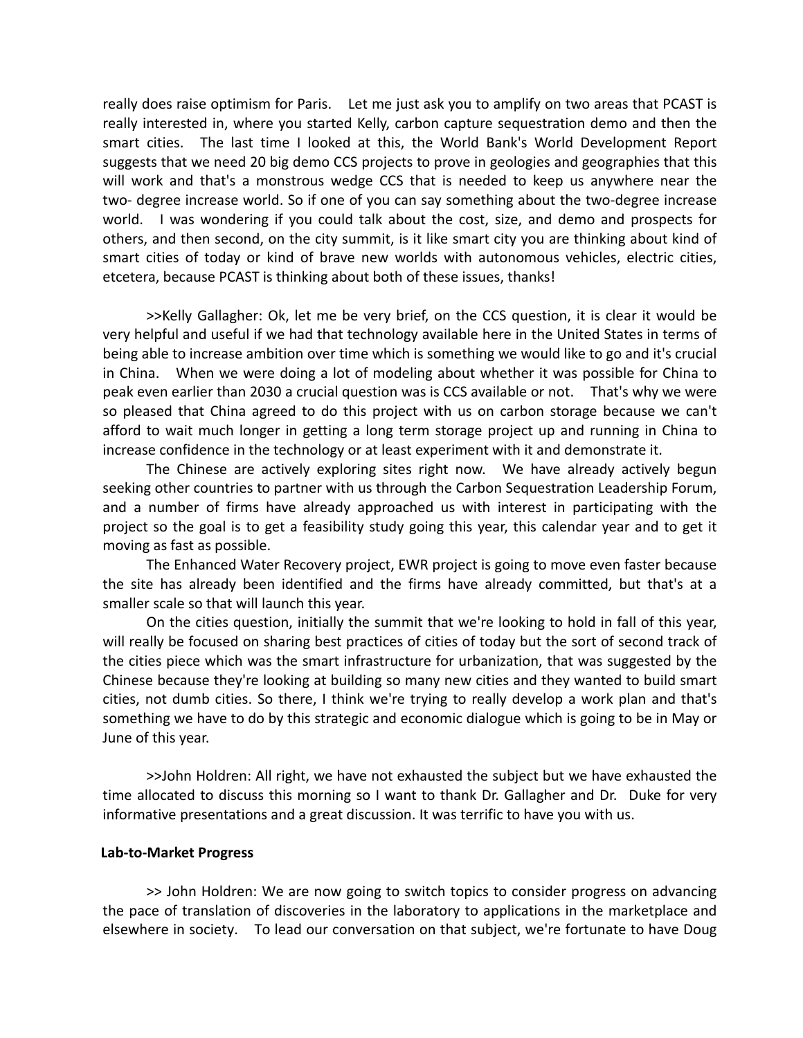really does raise optimism for Paris. Let me just ask you to amplify on two areas that PCAST is really interested in, where you started Kelly, carbon capture sequestration demo and then the smart cities. The last time I looked at this, the World Bank's World Development Report suggests that we need 20 big demo CCS projects to prove in geologies and geographies that this will work and that's a monstrous wedge CCS that is needed to keep us anywhere near the two- degree increase world. So if one of you can say something about the two-degree increase world. I was wondering if you could talk about the cost, size, and demo and prospects for others, and then second, on the city summit, is it like smart city you are thinking about kind of smart cities of today or kind of brave new worlds with autonomous vehicles, electric cities, etcetera, because PCAST is thinking about both of these issues, thanks!

>>Kelly Gallagher: Ok, let me be very brief, on the CCS question, it is clear it would be very helpful and useful if we had that technology available here in the United States in terms of being able to increase ambition over time which is something we would like to go and it's crucial in China. When we were doing a lot of modeling about whether it was possible for China to peak even earlier than 2030 a crucial question was is CCS available or not. That's why we were so pleased that China agreed to do this project with us on carbon storage because we can't afford to wait much longer in getting a long term storage project up and running in China to increase confidence in the technology or at least experiment with it and demonstrate it.

The Chinese are actively exploring sites right now. We have already actively begun seeking other countries to partner with us through the Carbon Sequestration Leadership Forum, and a number of firms have already approached us with interest in participating with the project so the goal is to get a feasibility study going this year, this calendar year and to get it moving as fast as possible.

The Enhanced Water Recovery project, EWR project is going to move even faster because the site has already been identified and the firms have already committed, but that's at a smaller scale so that will launch this year.

On the cities question, initially the summit that we're looking to hold in fall of this year, will really be focused on sharing best practices of cities of today but the sort of second track of the cities piece which was the smart infrastructure for urbanization, that was suggested by the Chinese because they're looking at building so many new cities and they wanted to build smart cities, not dumb cities. So there, I think we're trying to really develop a work plan and that's something we have to do by this strategic and economic dialogue which is going to be in May or June of this year.

>>John Holdren: All right, we have not exhausted the subject but we have exhausted the time allocated to discuss this morning so I want to thank Dr. Gallagher and Dr. Duke for very informative presentations and a great discussion. It was terrific to have you with us.

### **Lab‐to‐Market Progress**

>> John Holdren: We are now going to switch topics to consider progress on advancing the pace of translation of discoveries in the laboratory to applications in the marketplace and elsewhere in society. To lead our conversation on that subject, we're fortunate to have Doug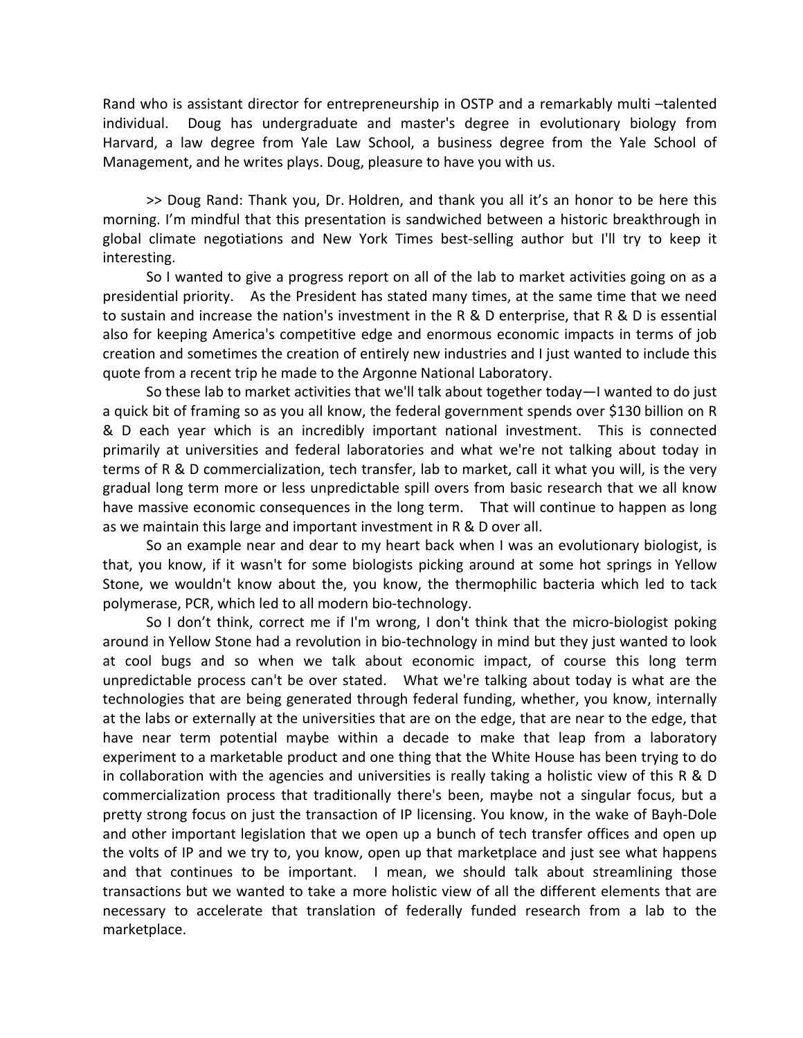Rand who is assistant director for entrepreneurship in OSTP and a remarkably multi –talented individual. Doug has undergraduate and master's degree in evolutionary biology from Harvard, a law degree from Yale Law School, a business degree from the Yale School of Management, and he writes plays. Doug, pleasure to have you with us.

>> Doug Rand: Thank you, Dr. Holdren, and thank you all it's an honor to be here this morning. I'm mindful that this presentation is sandwiched between a historic breakthrough in global climate negotiations and New York Times best‐selling author but I'll try to keep it interesting.

So I wanted to give a progress report on all of the lab to market activities going on as a presidential priority. As the President has stated many times, at the same time that we need to sustain and increase the nation's investment in the R & D enterprise, that R & D is essential also for keeping America's competitive edge and enormous economic impacts in terms of job creation and sometimes the creation of entirely new industries and I just wanted to include this quote from a recent trip he made to the Argonne National Laboratory.

So these lab to market activities that we'll talk about together today—I wanted to do just a quick bit of framing so as you all know, the federal government spends over \$130 billion on R & D each year which is an incredibly important national investment. This is connected primarily at universities and federal laboratories and what we're not talking about today in terms of R & D commercialization, tech transfer, lab to market, call it what you will, is the very gradual long term more or less unpredictable spill overs from basic research that we all know have massive economic consequences in the long term. That will continue to happen as long as we maintain this large and important investment in R & D over all.

So an example near and dear to my heart back when I was an evolutionary biologist, is that, you know, if it wasn't for some biologists picking around at some hot springs in Yellow Stone, we wouldn't know about the, you know, the thermophilic bacteria which led to tack polymerase, PCR, which led to all modern bio‐technology.

So I don't think, correct me if I'm wrong, I don't think that the micro-biologist poking around in Yellow Stone had a revolution in bio‐technology in mind but they just wanted to look at cool bugs and so when we talk about economic impact, of course this long term unpredictable process can't be over stated. What we're talking about today is what are the technologies that are being generated through federal funding, whether, you know, internally at the labs or externally at the universities that are on the edge, that are near to the edge, that have near term potential maybe within a decade to make that leap from a laboratory experiment to a marketable product and one thing that the White House has been trying to do in collaboration with the agencies and universities is really taking a holistic view of this R & D commercialization process that traditionally there's been, maybe not a singular focus, but a pretty strong focus on just the transaction of IP licensing. You know, in the wake of Bayh‐Dole and other important legislation that we open up a bunch of tech transfer offices and open up the volts of IP and we try to, you know, open up that marketplace and just see what happens and that continues to be important. I mean, we should talk about streamlining those transactions but we wanted to take a more holistic view of all the different elements that are necessary to accelerate that translation of federally funded research from a lab to the marketplace.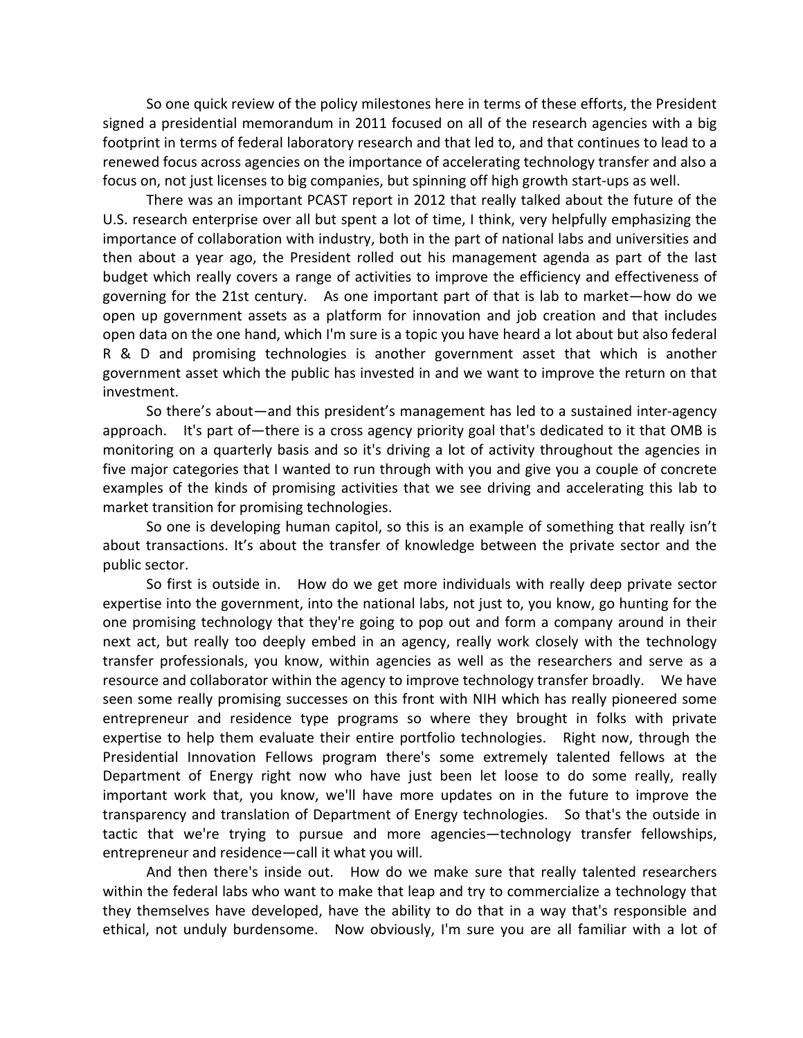So one quick review of the policy milestones here in terms of these efforts, the President signed a presidential memorandum in 2011 focused on all of the research agencies with a big footprint in terms of federal laboratory research and that led to, and that continues to lead to a renewed focus across agencies on the importance of accelerating technology transfer and also a focus on, not just licenses to big companies, but spinning off high growth start-ups as well.

There was an important PCAST report in 2012 that really talked about the future of the U.S. research enterprise over all but spent a lot of time, I think, very helpfully emphasizing the importance of collaboration with industry, both in the part of national labs and universities and then about a year ago, the President rolled out his management agenda as part of the last budget which really covers a range of activities to improve the efficiency and effectiveness of governing for the 21st century. As one important part of that is lab to market—how do we open up government assets as a platform for innovation and job creation and that includes open data on the one hand, which I'm sure is a topic you have heard a lot about but also federal R & D and promising technologies is another government asset that which is another government asset which the public has invested in and we want to improve the return on that investment.

So there's about—and this president's management has led to a sustained inter‐agency approach. It's part of—there is a cross agency priority goal that's dedicated to it that OMB is monitoring on a quarterly basis and so it's driving a lot of activity throughout the agencies in five major categories that I wanted to run through with you and give you a couple of concrete examples of the kinds of promising activities that we see driving and accelerating this lab to market transition for promising technologies.

So one is developing human capitol, so this is an example of something that really isn't about transactions. It's about the transfer of knowledge between the private sector and the public sector.

So first is outside in. How do we get more individuals with really deep private sector expertise into the government, into the national labs, not just to, you know, go hunting for the one promising technology that they're going to pop out and form a company around in their next act, but really too deeply embed in an agency, really work closely with the technology transfer professionals, you know, within agencies as well as the researchers and serve as a resource and collaborator within the agency to improve technology transfer broadly. We have seen some really promising successes on this front with NIH which has really pioneered some entrepreneur and residence type programs so where they brought in folks with private expertise to help them evaluate their entire portfolio technologies. Right now, through the Presidential Innovation Fellows program there's some extremely talented fellows at the Department of Energy right now who have just been let loose to do some really, really important work that, you know, we'll have more updates on in the future to improve the transparency and translation of Department of Energy technologies. So that's the outside in tactic that we're trying to pursue and more agencies—technology transfer fellowships, entrepreneur and residence—call it what you will.

And then there's inside out. How do we make sure that really talented researchers within the federal labs who want to make that leap and try to commercialize a technology that they themselves have developed, have the ability to do that in a way that's responsible and ethical, not unduly burdensome. Now obviously, I'm sure you are all familiar with a lot of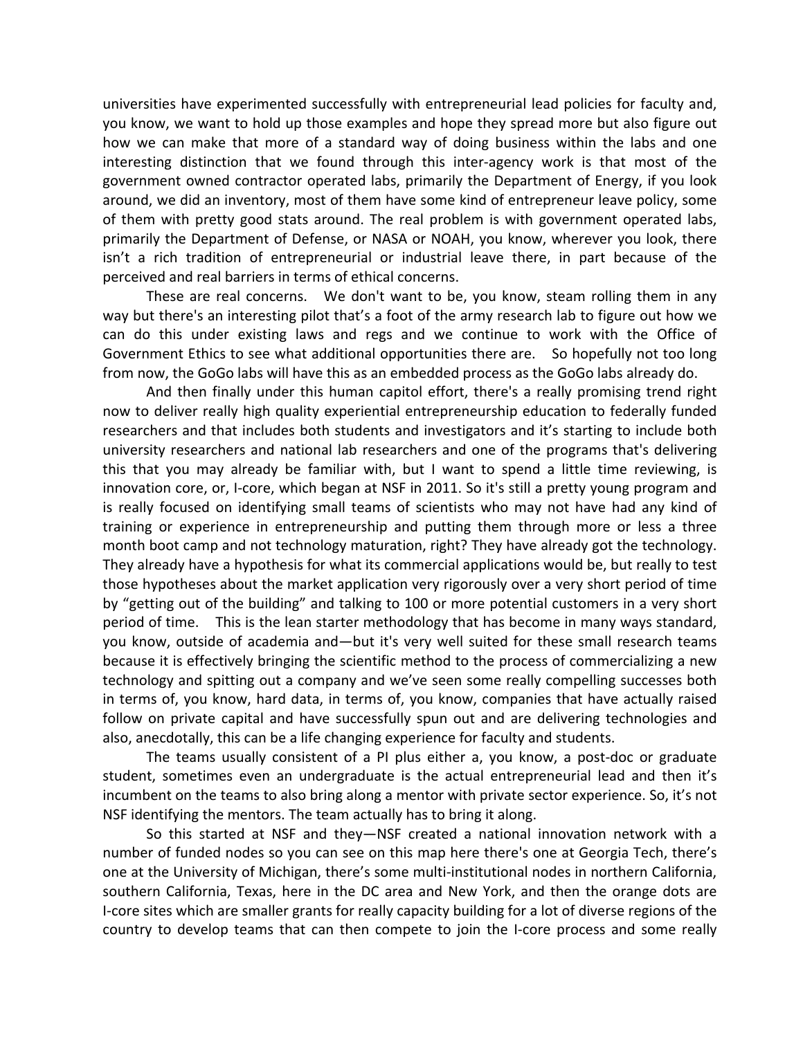universities have experimented successfully with entrepreneurial lead policies for faculty and, you know, we want to hold up those examples and hope they spread more but also figure out how we can make that more of a standard way of doing business within the labs and one interesting distinction that we found through this inter-agency work is that most of the government owned contractor operated labs, primarily the Department of Energy, if you look around, we did an inventory, most of them have some kind of entrepreneur leave policy, some of them with pretty good stats around. The real problem is with government operated labs, primarily the Department of Defense, or NASA or NOAH, you know, wherever you look, there isn't a rich tradition of entrepreneurial or industrial leave there, in part because of the perceived and real barriers in terms of ethical concerns.

These are real concerns. We don't want to be, you know, steam rolling them in any way but there's an interesting pilot that's a foot of the army research lab to figure out how we can do this under existing laws and regs and we continue to work with the Office of Government Ethics to see what additional opportunities there are. So hopefully not too long from now, the GoGo labs will have this as an embedded process as the GoGo labs already do.

And then finally under this human capitol effort, there's a really promising trend right now to deliver really high quality experiential entrepreneurship education to federally funded researchers and that includes both students and investigators and it's starting to include both university researchers and national lab researchers and one of the programs that's delivering this that you may already be familiar with, but I want to spend a little time reviewing, is innovation core, or, I-core, which began at NSF in 2011. So it's still a pretty young program and is really focused on identifying small teams of scientists who may not have had any kind of training or experience in entrepreneurship and putting them through more or less a three month boot camp and not technology maturation, right? They have already got the technology. They already have a hypothesis for what its commercial applications would be, but really to test those hypotheses about the market application very rigorously over a very short period of time by "getting out of the building" and talking to 100 or more potential customers in a very short period of time. This is the lean starter methodology that has become in many ways standard, you know, outside of academia and—but it's very well suited for these small research teams because it is effectively bringing the scientific method to the process of commercializing a new technology and spitting out a company and we've seen some really compelling successes both in terms of, you know, hard data, in terms of, you know, companies that have actually raised follow on private capital and have successfully spun out and are delivering technologies and also, anecdotally, this can be a life changing experience for faculty and students.

The teams usually consistent of a PI plus either a, you know, a post‐doc or graduate student, sometimes even an undergraduate is the actual entrepreneurial lead and then it's incumbent on the teams to also bring along a mentor with private sector experience. So, it's not NSF identifying the mentors. The team actually has to bring it along.

So this started at NSF and they—NSF created a national innovation network with a number of funded nodes so you can see on this map here there's one at Georgia Tech, there's one at the University of Michigan, there's some multi‐institutional nodes in northern California, southern California, Texas, here in the DC area and New York, and then the orange dots are I‐core sites which are smaller grants for really capacity building for a lot of diverse regions of the country to develop teams that can then compete to join the I‐core process and some really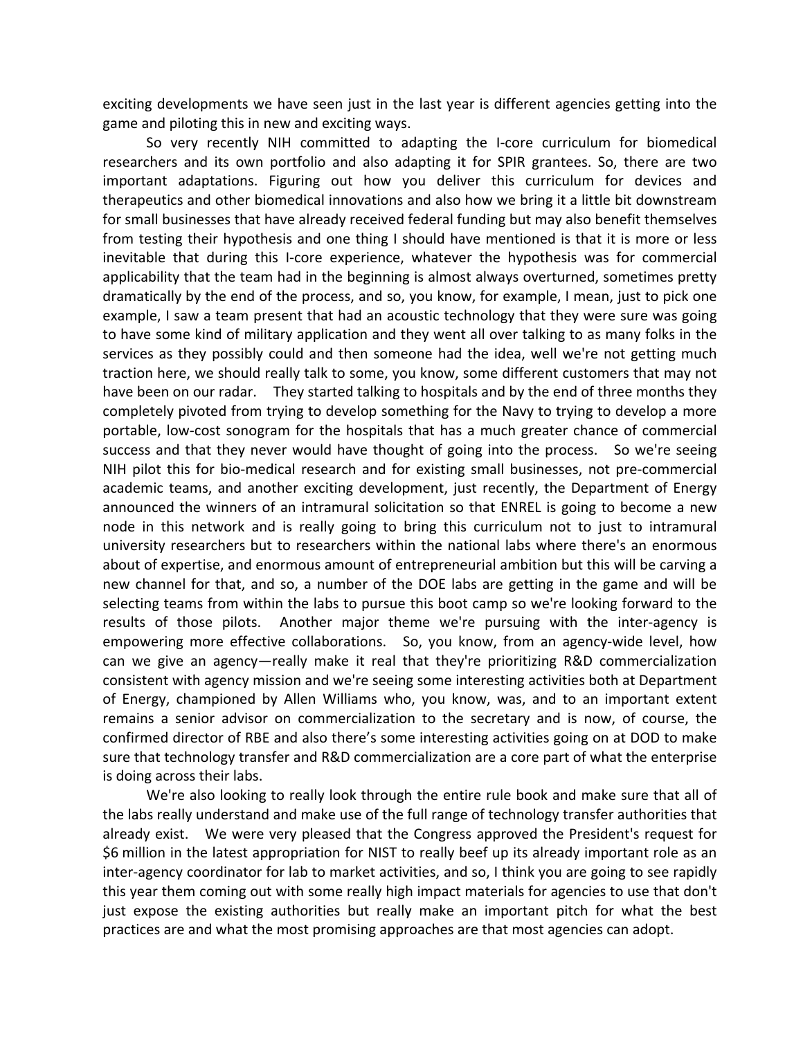exciting developments we have seen just in the last year is different agencies getting into the game and piloting this in new and exciting ways.

So very recently NIH committed to adapting the I‐core curriculum for biomedical researchers and its own portfolio and also adapting it for SPIR grantees. So, there are two important adaptations. Figuring out how you deliver this curriculum for devices and therapeutics and other biomedical innovations and also how we bring it a little bit downstream for small businesses that have already received federal funding but may also benefit themselves from testing their hypothesis and one thing I should have mentioned is that it is more or less inevitable that during this I‐core experience, whatever the hypothesis was for commercial applicability that the team had in the beginning is almost always overturned, sometimes pretty dramatically by the end of the process, and so, you know, for example, I mean, just to pick one example, I saw a team present that had an acoustic technology that they were sure was going to have some kind of military application and they went all over talking to as many folks in the services as they possibly could and then someone had the idea, well we're not getting much traction here, we should really talk to some, you know, some different customers that may not have been on our radar. They started talking to hospitals and by the end of three months they completely pivoted from trying to develop something for the Navy to trying to develop a more portable, low‐cost sonogram for the hospitals that has a much greater chance of commercial success and that they never would have thought of going into the process. So we're seeing NIH pilot this for bio-medical research and for existing small businesses, not pre-commercial academic teams, and another exciting development, just recently, the Department of Energy announced the winners of an intramural solicitation so that ENREL is going to become a new node in this network and is really going to bring this curriculum not to just to intramural university researchers but to researchers within the national labs where there's an enormous about of expertise, and enormous amount of entrepreneurial ambition but this will be carving a new channel for that, and so, a number of the DOE labs are getting in the game and will be selecting teams from within the labs to pursue this boot camp so we're looking forward to the results of those pilots. Another major theme we're pursuing with the inter-agency is empowering more effective collaborations. So, you know, from an agency-wide level, how can we give an agency—really make it real that they're prioritizing R&D commercialization consistent with agency mission and we're seeing some interesting activities both at Department of Energy, championed by Allen Williams who, you know, was, and to an important extent remains a senior advisor on commercialization to the secretary and is now, of course, the confirmed director of RBE and also there's some interesting activities going on at DOD to make sure that technology transfer and R&D commercialization are a core part of what the enterprise is doing across their labs.

We're also looking to really look through the entire rule book and make sure that all of the labs really understand and make use of the full range of technology transfer authorities that already exist. We were very pleased that the Congress approved the President's request for \$6 million in the latest appropriation for NIST to really beef up its already important role as an inter‐agency coordinator for lab to market activities, and so, I think you are going to see rapidly this year them coming out with some really high impact materials for agencies to use that don't just expose the existing authorities but really make an important pitch for what the best practices are and what the most promising approaches are that most agencies can adopt.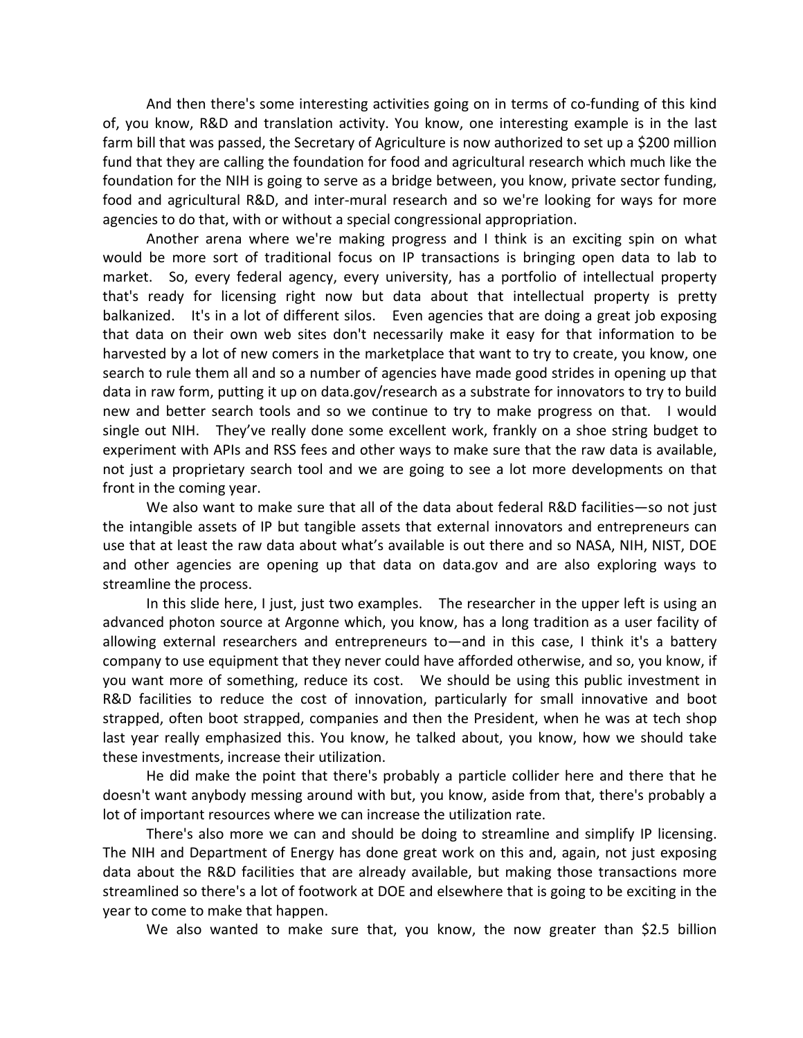And then there's some interesting activities going on in terms of co-funding of this kind of, you know, R&D and translation activity. You know, one interesting example is in the last farm bill that was passed, the Secretary of Agriculture is now authorized to set up a \$200 million fund that they are calling the foundation for food and agricultural research which much like the foundation for the NIH is going to serve as a bridge between, you know, private sector funding, food and agricultural R&D, and inter-mural research and so we're looking for ways for more agencies to do that, with or without a special congressional appropriation.

Another arena where we're making progress and I think is an exciting spin on what would be more sort of traditional focus on IP transactions is bringing open data to lab to market. So, every federal agency, every university, has a portfolio of intellectual property that's ready for licensing right now but data about that intellectual property is pretty balkanized. It's in a lot of different silos. Even agencies that are doing a great job exposing that data on their own web sites don't necessarily make it easy for that information to be harvested by a lot of new comers in the marketplace that want to try to create, you know, one search to rule them all and so a number of agencies have made good strides in opening up that data in raw form, putting it up on data.gov/research as a substrate for innovators to try to build new and better search tools and so we continue to try to make progress on that. I would single out NIH. They've really done some excellent work, frankly on a shoe string budget to experiment with APIs and RSS fees and other ways to make sure that the raw data is available, not just a proprietary search tool and we are going to see a lot more developments on that front in the coming year.

We also want to make sure that all of the data about federal R&D facilities—so not just the intangible assets of IP but tangible assets that external innovators and entrepreneurs can use that at least the raw data about what's available is out there and so NASA, NIH, NIST, DOE and other agencies are opening up that data on data.gov and are also exploring ways to streamline the process.

In this slide here, I just, just two examples. The researcher in the upper left is using an advanced photon source at Argonne which, you know, has a long tradition as a user facility of allowing external researchers and entrepreneurs to—and in this case, I think it's a battery company to use equipment that they never could have afforded otherwise, and so, you know, if you want more of something, reduce its cost. We should be using this public investment in R&D facilities to reduce the cost of innovation, particularly for small innovative and boot strapped, often boot strapped, companies and then the President, when he was at tech shop last year really emphasized this. You know, he talked about, you know, how we should take these investments, increase their utilization.

He did make the point that there's probably a particle collider here and there that he doesn't want anybody messing around with but, you know, aside from that, there's probably a lot of important resources where we can increase the utilization rate.

There's also more we can and should be doing to streamline and simplify IP licensing. The NIH and Department of Energy has done great work on this and, again, not just exposing data about the R&D facilities that are already available, but making those transactions more streamlined so there's a lot of footwork at DOE and elsewhere that is going to be exciting in the year to come to make that happen.

We also wanted to make sure that, you know, the now greater than \$2.5 billion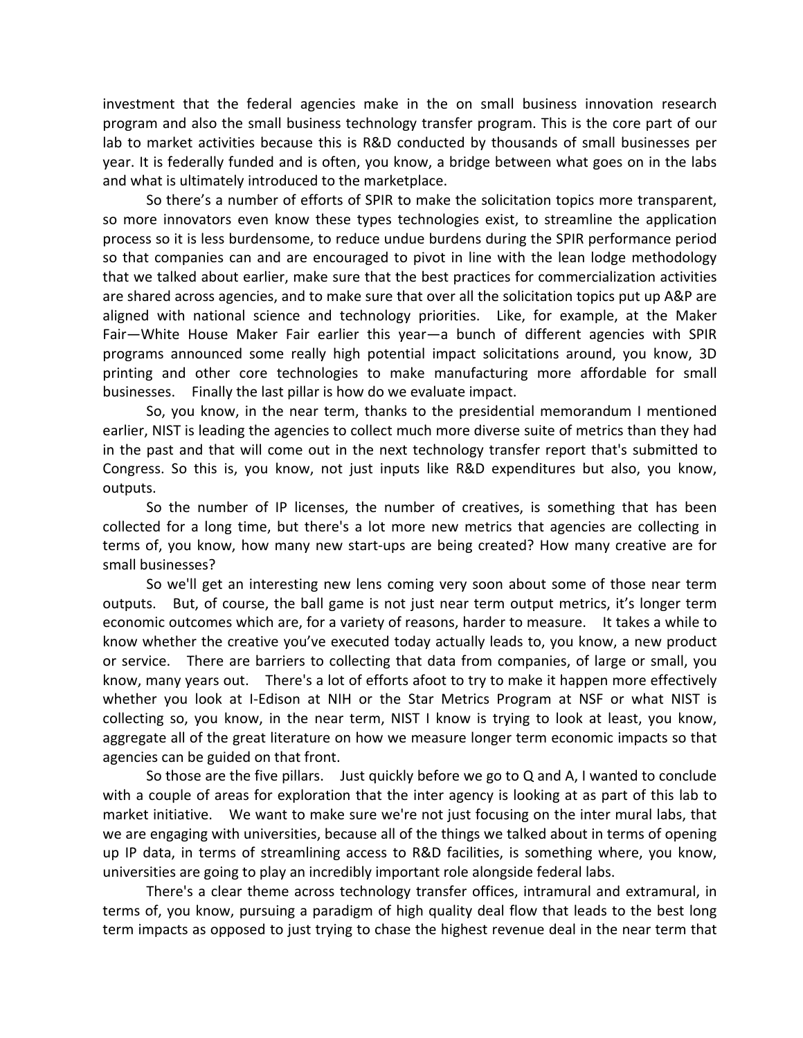investment that the federal agencies make in the on small business innovation research program and also the small business technology transfer program. This is the core part of our lab to market activities because this is R&D conducted by thousands of small businesses per year. It is federally funded and is often, you know, a bridge between what goes on in the labs and what is ultimately introduced to the marketplace.

So there's a number of efforts of SPIR to make the solicitation topics more transparent, so more innovators even know these types technologies exist, to streamline the application process so it is less burdensome, to reduce undue burdens during the SPIR performance period so that companies can and are encouraged to pivot in line with the lean lodge methodology that we talked about earlier, make sure that the best practices for commercialization activities are shared across agencies, and to make sure that over all the solicitation topics put up A&P are aligned with national science and technology priorities. Like, for example, at the Maker Fair—White House Maker Fair earlier this year—a bunch of different agencies with SPIR programs announced some really high potential impact solicitations around, you know, 3D printing and other core technologies to make manufacturing more affordable for small businesses. Finally the last pillar is how do we evaluate impact.

So, you know, in the near term, thanks to the presidential memorandum I mentioned earlier, NIST is leading the agencies to collect much more diverse suite of metrics than they had in the past and that will come out in the next technology transfer report that's submitted to Congress. So this is, you know, not just inputs like R&D expenditures but also, you know, outputs.

So the number of IP licenses, the number of creatives, is something that has been collected for a long time, but there's a lot more new metrics that agencies are collecting in terms of, you know, how many new start‐ups are being created? How many creative are for small businesses?

So we'll get an interesting new lens coming very soon about some of those near term outputs. But, of course, the ball game is not just near term output metrics, it's longer term economic outcomes which are, for a variety of reasons, harder to measure. It takes a while to know whether the creative you've executed today actually leads to, you know, a new product or service. There are barriers to collecting that data from companies, of large or small, you know, many years out. There's a lot of efforts afoot to try to make it happen more effectively whether you look at I-Edison at NIH or the Star Metrics Program at NSF or what NIST is collecting so, you know, in the near term, NIST I know is trying to look at least, you know, aggregate all of the great literature on how we measure longer term economic impacts so that agencies can be guided on that front.

So those are the five pillars. Just quickly before we go to Q and A, I wanted to conclude with a couple of areas for exploration that the inter agency is looking at as part of this lab to market initiative. We want to make sure we're not just focusing on the inter mural labs, that we are engaging with universities, because all of the things we talked about in terms of opening up IP data, in terms of streamlining access to R&D facilities, is something where, you know, universities are going to play an incredibly important role alongside federal labs.

There's a clear theme across technology transfer offices, intramural and extramural, in terms of, you know, pursuing a paradigm of high quality deal flow that leads to the best long term impacts as opposed to just trying to chase the highest revenue deal in the near term that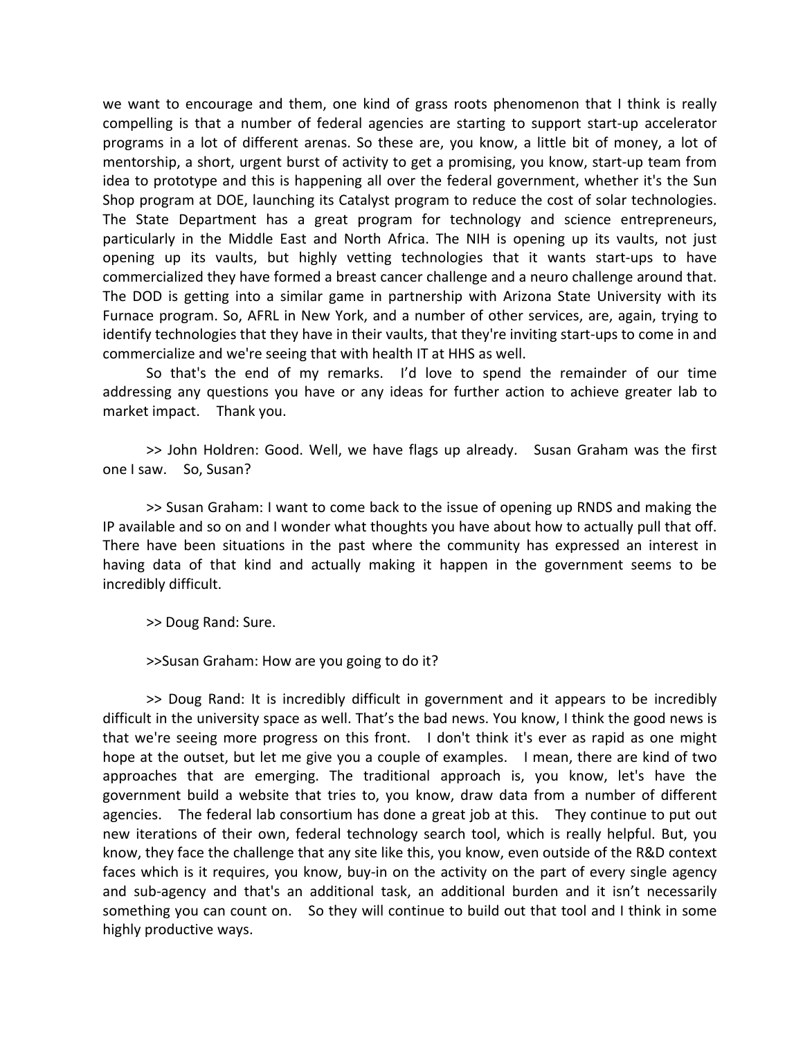we want to encourage and them, one kind of grass roots phenomenon that I think is really compelling is that a number of federal agencies are starting to support start‐up accelerator programs in a lot of different arenas. So these are, you know, a little bit of money, a lot of mentorship, a short, urgent burst of activity to get a promising, you know, start‐up team from idea to prototype and this is happening all over the federal government, whether it's the Sun Shop program at DOE, launching its Catalyst program to reduce the cost of solar technologies. The State Department has a great program for technology and science entrepreneurs, particularly in the Middle East and North Africa. The NIH is opening up its vaults, not just opening up its vaults, but highly vetting technologies that it wants start‐ups to have commercialized they have formed a breast cancer challenge and a neuro challenge around that. The DOD is getting into a similar game in partnership with Arizona State University with its Furnace program. So, AFRL in New York, and a number of other services, are, again, trying to identify technologies that they have in their vaults, that they're inviting start‐ups to come in and commercialize and we're seeing that with health IT at HHS as well.

So that's the end of my remarks. I'd love to spend the remainder of our time addressing any questions you have or any ideas for further action to achieve greater lab to market impact. Thank you.

>> John Holdren: Good. Well, we have flags up already. Susan Graham was the first one I saw. So, Susan?

>> Susan Graham: I want to come back to the issue of opening up RNDS and making the IP available and so on and I wonder what thoughts you have about how to actually pull that off. There have been situations in the past where the community has expressed an interest in having data of that kind and actually making it happen in the government seems to be incredibly difficult.

>> Doug Rand: Sure.

>>Susan Graham: How are you going to do it?

>> Doug Rand: It is incredibly difficult in government and it appears to be incredibly difficult in the university space as well. That's the bad news. You know, I think the good news is that we're seeing more progress on this front. I don't think it's ever as rapid as one might hope at the outset, but let me give you a couple of examples. I mean, there are kind of two approaches that are emerging. The traditional approach is, you know, let's have the government build a website that tries to, you know, draw data from a number of different agencies. The federal lab consortium has done a great job at this. They continue to put out new iterations of their own, federal technology search tool, which is really helpful. But, you know, they face the challenge that any site like this, you know, even outside of the R&D context faces which is it requires, you know, buy-in on the activity on the part of every single agency and sub-agency and that's an additional task, an additional burden and it isn't necessarily something you can count on. So they will continue to build out that tool and I think in some highly productive ways.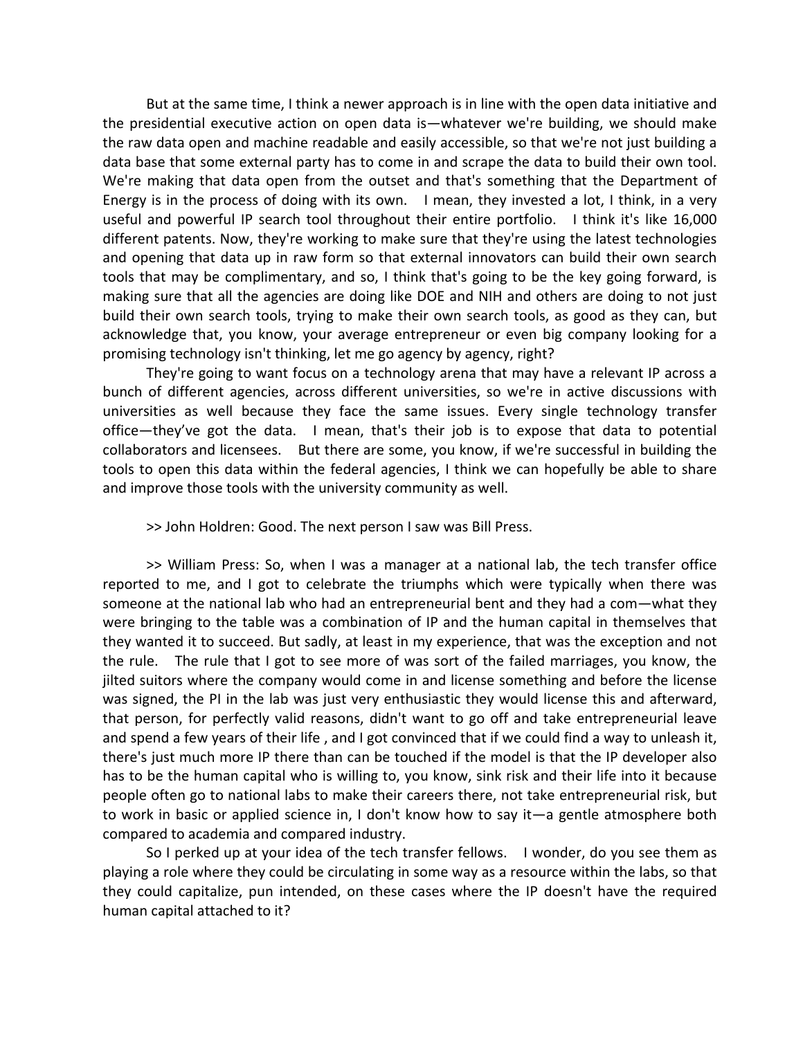But at the same time, I think a newer approach is in line with the open data initiative and the presidential executive action on open data is—whatever we're building, we should make the raw data open and machine readable and easily accessible, so that we're not just building a data base that some external party has to come in and scrape the data to build their own tool. We're making that data open from the outset and that's something that the Department of Energy is in the process of doing with its own. I mean, they invested a lot, I think, in a very useful and powerful IP search tool throughout their entire portfolio. I think it's like 16,000 different patents. Now, they're working to make sure that they're using the latest technologies and opening that data up in raw form so that external innovators can build their own search tools that may be complimentary, and so, I think that's going to be the key going forward, is making sure that all the agencies are doing like DOE and NIH and others are doing to not just build their own search tools, trying to make their own search tools, as good as they can, but acknowledge that, you know, your average entrepreneur or even big company looking for a promising technology isn't thinking, let me go agency by agency, right?

They're going to want focus on a technology arena that may have a relevant IP across a bunch of different agencies, across different universities, so we're in active discussions with universities as well because they face the same issues. Every single technology transfer office—they've got the data. I mean, that's their job is to expose that data to potential collaborators and licensees. But there are some, you know, if we're successful in building the tools to open this data within the federal agencies, I think we can hopefully be able to share and improve those tools with the university community as well.

>> John Holdren: Good. The next person I saw was Bill Press.

>> William Press: So, when I was a manager at a national lab, the tech transfer office reported to me, and I got to celebrate the triumphs which were typically when there was someone at the national lab who had an entrepreneurial bent and they had a com—what they were bringing to the table was a combination of IP and the human capital in themselves that they wanted it to succeed. But sadly, at least in my experience, that was the exception and not the rule. The rule that I got to see more of was sort of the failed marriages, you know, the jilted suitors where the company would come in and license something and before the license was signed, the PI in the lab was just very enthusiastic they would license this and afterward, that person, for perfectly valid reasons, didn't want to go off and take entrepreneurial leave and spend a few years of their life , and I got convinced that if we could find a way to unleash it, there's just much more IP there than can be touched if the model is that the IP developer also has to be the human capital who is willing to, you know, sink risk and their life into it because people often go to national labs to make their careers there, not take entrepreneurial risk, but to work in basic or applied science in, I don't know how to say it—a gentle atmosphere both compared to academia and compared industry.

So I perked up at your idea of the tech transfer fellows. I wonder, do you see them as playing a role where they could be circulating in some way as a resource within the labs, so that they could capitalize, pun intended, on these cases where the IP doesn't have the required human capital attached to it?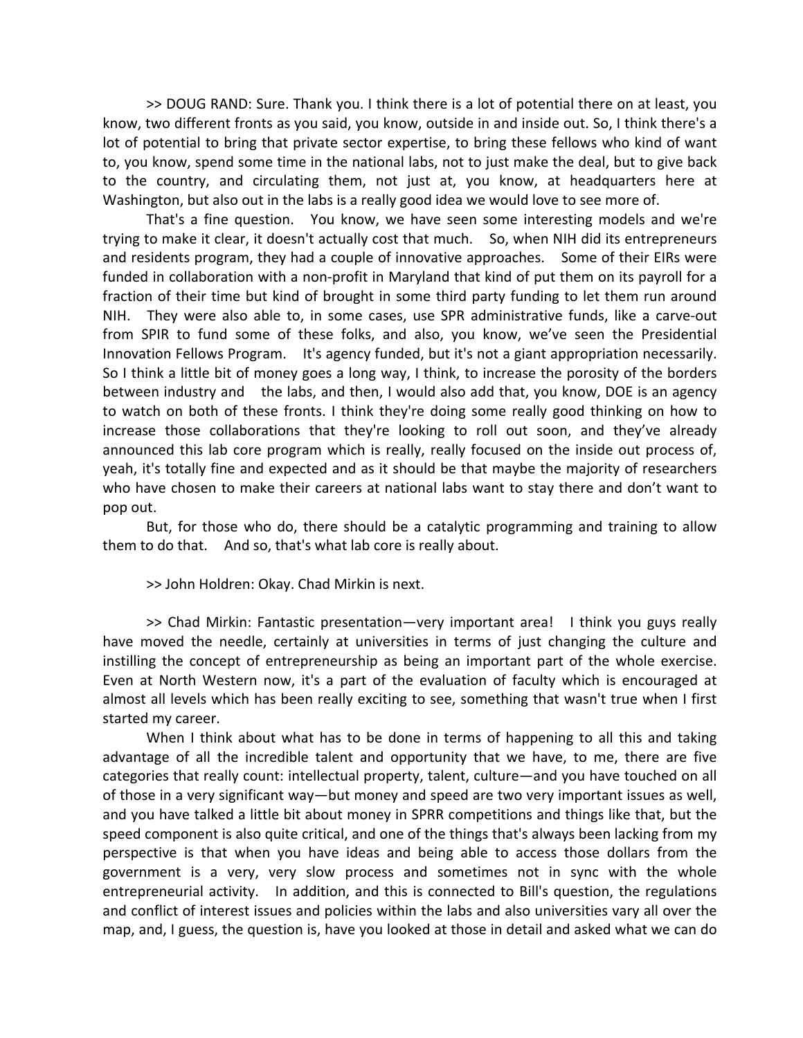>> DOUG RAND: Sure. Thank you. I think there is a lot of potential there on at least, you know, two different fronts as you said, you know, outside in and inside out. So, I think there's a lot of potential to bring that private sector expertise, to bring these fellows who kind of want to, you know, spend some time in the national labs, not to just make the deal, but to give back to the country, and circulating them, not just at, you know, at headquarters here at Washington, but also out in the labs is a really good idea we would love to see more of.

That's a fine question. You know, we have seen some interesting models and we're trying to make it clear, it doesn't actually cost that much. So, when NIH did its entrepreneurs and residents program, they had a couple of innovative approaches. Some of their EIRs were funded in collaboration with a non‐profit in Maryland that kind of put them on its payroll for a fraction of their time but kind of brought in some third party funding to let them run around NIH. They were also able to, in some cases, use SPR administrative funds, like a carve-out from SPIR to fund some of these folks, and also, you know, we've seen the Presidential Innovation Fellows Program. It's agency funded, but it's not a giant appropriation necessarily. So I think a little bit of money goes a long way, I think, to increase the porosity of the borders between industry and the labs, and then, I would also add that, you know, DOE is an agency to watch on both of these fronts. I think they're doing some really good thinking on how to increase those collaborations that they're looking to roll out soon, and they've already announced this lab core program which is really, really focused on the inside out process of, yeah, it's totally fine and expected and as it should be that maybe the majority of researchers who have chosen to make their careers at national labs want to stay there and don't want to pop out.

But, for those who do, there should be a catalytic programming and training to allow them to do that. And so, that's what lab core is really about.

>> John Holdren: Okay. Chad Mirkin is next.

>> Chad Mirkin: Fantastic presentation—very important area! I think you guys really have moved the needle, certainly at universities in terms of just changing the culture and instilling the concept of entrepreneurship as being an important part of the whole exercise. Even at North Western now, it's a part of the evaluation of faculty which is encouraged at almost all levels which has been really exciting to see, something that wasn't true when I first started my career.

When I think about what has to be done in terms of happening to all this and taking advantage of all the incredible talent and opportunity that we have, to me, there are five categories that really count: intellectual property, talent, culture—and you have touched on all of those in a very significant way—but money and speed are two very important issues as well, and you have talked a little bit about money in SPRR competitions and things like that, but the speed component is also quite critical, and one of the things that's always been lacking from my perspective is that when you have ideas and being able to access those dollars from the government is a very, very slow process and sometimes not in sync with the whole entrepreneurial activity. In addition, and this is connected to Bill's question, the regulations and conflict of interest issues and policies within the labs and also universities vary all over the map, and, I guess, the question is, have you looked at those in detail and asked what we can do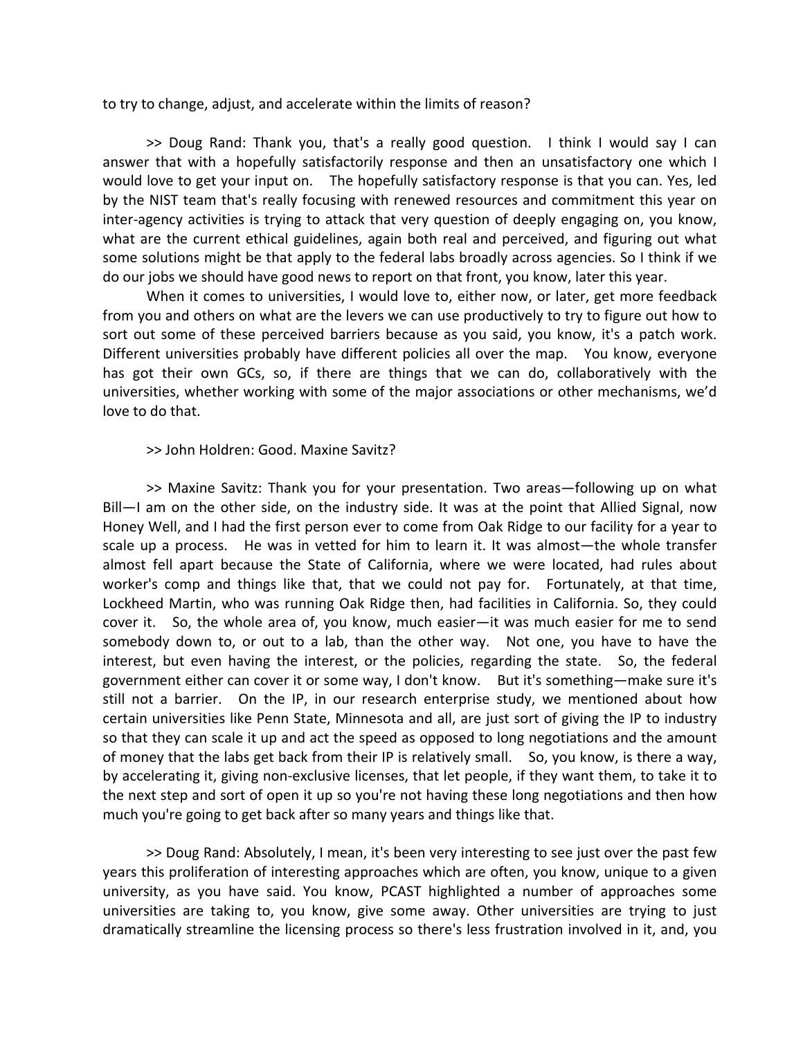to try to change, adjust, and accelerate within the limits of reason?

>> Doug Rand: Thank you, that's a really good question. I think I would say I can answer that with a hopefully satisfactorily response and then an unsatisfactory one which I would love to get your input on. The hopefully satisfactory response is that you can. Yes, led by the NIST team that's really focusing with renewed resources and commitment this year on inter‐agency activities is trying to attack that very question of deeply engaging on, you know, what are the current ethical guidelines, again both real and perceived, and figuring out what some solutions might be that apply to the federal labs broadly across agencies. So I think if we do our jobs we should have good news to report on that front, you know, later this year.

When it comes to universities, I would love to, either now, or later, get more feedback from you and others on what are the levers we can use productively to try to figure out how to sort out some of these perceived barriers because as you said, you know, it's a patch work. Different universities probably have different policies all over the map. You know, everyone has got their own GCs, so, if there are things that we can do, collaboratively with the universities, whether working with some of the major associations or other mechanisms, we'd love to do that.

## >> John Holdren: Good. Maxine Savitz?

>> Maxine Savitz: Thank you for your presentation. Two areas—following up on what Bill-I am on the other side, on the industry side. It was at the point that Allied Signal, now Honey Well, and I had the first person ever to come from Oak Ridge to our facility for a year to scale up a process. He was in vetted for him to learn it. It was almost—the whole transfer almost fell apart because the State of California, where we were located, had rules about worker's comp and things like that, that we could not pay for. Fortunately, at that time, Lockheed Martin, who was running Oak Ridge then, had facilities in California. So, they could cover it. So, the whole area of, you know, much easier—it was much easier for me to send somebody down to, or out to a lab, than the other way. Not one, you have to have the interest, but even having the interest, or the policies, regarding the state. So, the federal government either can cover it or some way, I don't know. But it's something—make sure it's still not a barrier. On the IP, in our research enterprise study, we mentioned about how certain universities like Penn State, Minnesota and all, are just sort of giving the IP to industry so that they can scale it up and act the speed as opposed to long negotiations and the amount of money that the labs get back from their IP is relatively small. So, you know, is there a way, by accelerating it, giving non‐exclusive licenses, that let people, if they want them, to take it to the next step and sort of open it up so you're not having these long negotiations and then how much you're going to get back after so many years and things like that.

>> Doug Rand: Absolutely, I mean, it's been very interesting to see just over the past few years this proliferation of interesting approaches which are often, you know, unique to a given university, as you have said. You know, PCAST highlighted a number of approaches some universities are taking to, you know, give some away. Other universities are trying to just dramatically streamline the licensing process so there's less frustration involved in it, and, you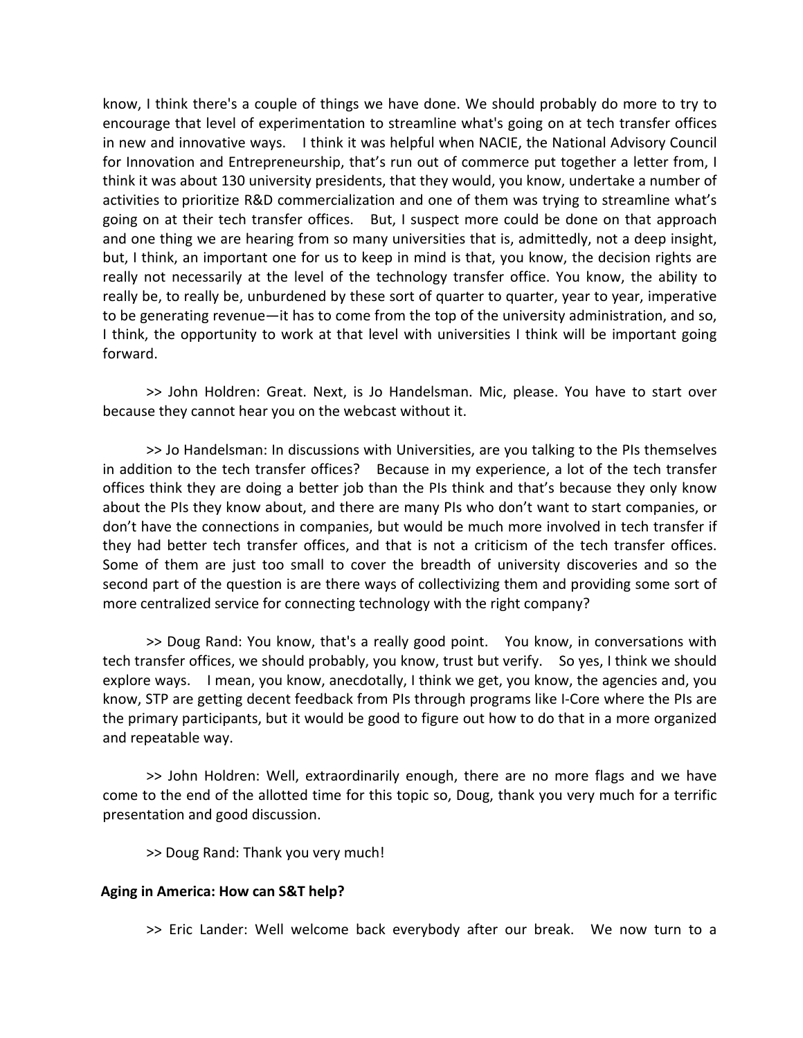know, I think there's a couple of things we have done. We should probably do more to try to encourage that level of experimentation to streamline what's going on at tech transfer offices in new and innovative ways. I think it was helpful when NACIE, the National Advisory Council for Innovation and Entrepreneurship, that's run out of commerce put together a letter from, I think it was about 130 university presidents, that they would, you know, undertake a number of activities to prioritize R&D commercialization and one of them was trying to streamline what's going on at their tech transfer offices. But, I suspect more could be done on that approach and one thing we are hearing from so many universities that is, admittedly, not a deep insight, but, I think, an important one for us to keep in mind is that, you know, the decision rights are really not necessarily at the level of the technology transfer office. You know, the ability to really be, to really be, unburdened by these sort of quarter to quarter, year to year, imperative to be generating revenue—it has to come from the top of the university administration, and so, I think, the opportunity to work at that level with universities I think will be important going forward.

>> John Holdren: Great. Next, is Jo Handelsman. Mic, please. You have to start over because they cannot hear you on the webcast without it.

>> Jo Handelsman: In discussions with Universities, are you talking to the PIs themselves in addition to the tech transfer offices? Because in my experience, a lot of the tech transfer offices think they are doing a better job than the PIs think and that's because they only know about the PIs they know about, and there are many PIs who don't want to start companies, or don't have the connections in companies, but would be much more involved in tech transfer if they had better tech transfer offices, and that is not a criticism of the tech transfer offices. Some of them are just too small to cover the breadth of university discoveries and so the second part of the question is are there ways of collectivizing them and providing some sort of more centralized service for connecting technology with the right company?

>> Doug Rand: You know, that's a really good point. You know, in conversations with tech transfer offices, we should probably, you know, trust but verify. So yes, I think we should explore ways. I mean, you know, anecdotally, I think we get, you know, the agencies and, you know, STP are getting decent feedback from PIs through programs like I‐Core where the PIs are the primary participants, but it would be good to figure out how to do that in a more organized and repeatable way.

>> John Holdren: Well, extraordinarily enough, there are no more flags and we have come to the end of the allotted time for this topic so, Doug, thank you very much for a terrific presentation and good discussion.

>> Doug Rand: Thank you very much!

### **Aging in America: How can S&T help?**

>> Eric Lander: Well welcome back everybody after our break. We now turn to a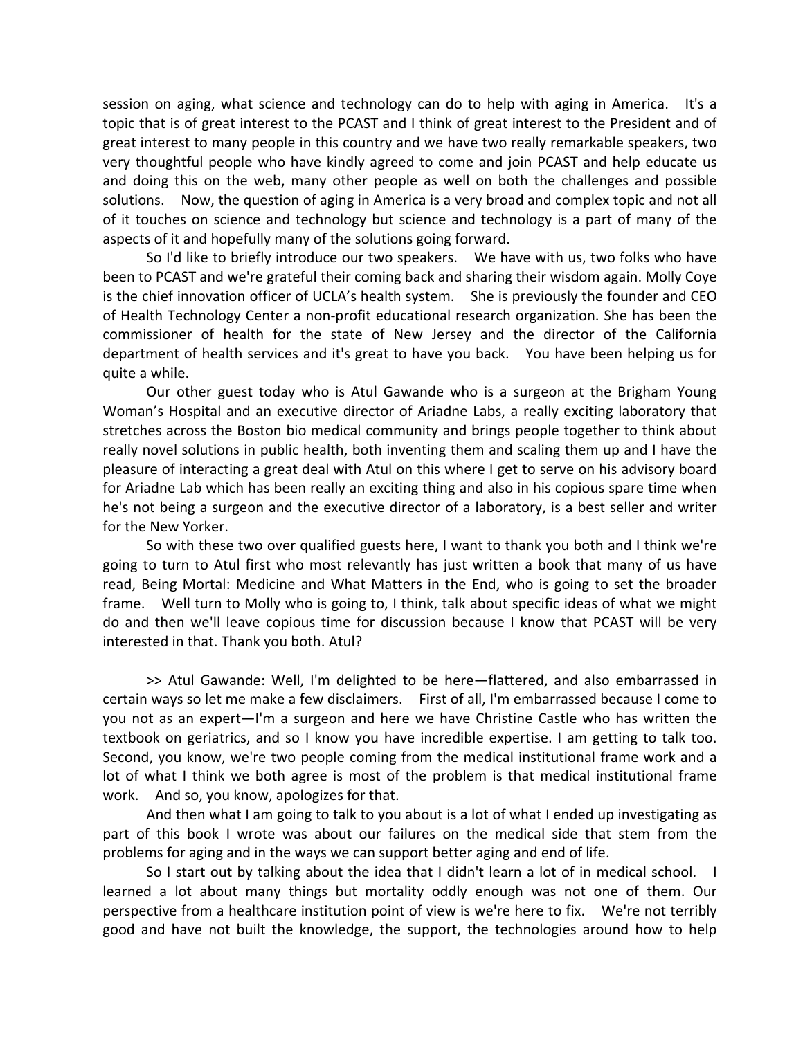session on aging, what science and technology can do to help with aging in America. It's a topic that is of great interest to the PCAST and I think of great interest to the President and of great interest to many people in this country and we have two really remarkable speakers, two very thoughtful people who have kindly agreed to come and join PCAST and help educate us and doing this on the web, many other people as well on both the challenges and possible solutions. Now, the question of aging in America is a very broad and complex topic and not all of it touches on science and technology but science and technology is a part of many of the aspects of it and hopefully many of the solutions going forward.

So I'd like to briefly introduce our two speakers. We have with us, two folks who have been to PCAST and we're grateful their coming back and sharing their wisdom again. Molly Coye is the chief innovation officer of UCLA's health system. She is previously the founder and CEO of Health Technology Center a non‐profit educational research organization. She has been the commissioner of health for the state of New Jersey and the director of the California department of health services and it's great to have you back. You have been helping us for quite a while.

Our other guest today who is Atul Gawande who is a surgeon at the Brigham Young Woman's Hospital and an executive director of Ariadne Labs, a really exciting laboratory that stretches across the Boston bio medical community and brings people together to think about really novel solutions in public health, both inventing them and scaling them up and I have the pleasure of interacting a great deal with Atul on this where I get to serve on his advisory board for Ariadne Lab which has been really an exciting thing and also in his copious spare time when he's not being a surgeon and the executive director of a laboratory, is a best seller and writer for the New Yorker.

So with these two over qualified guests here, I want to thank you both and I think we're going to turn to Atul first who most relevantly has just written a book that many of us have read, Being Mortal: Medicine and What Matters in the End, who is going to set the broader frame. Well turn to Molly who is going to, I think, talk about specific ideas of what we might do and then we'll leave copious time for discussion because I know that PCAST will be very interested in that. Thank you both. Atul?

>> Atul Gawande: Well, I'm delighted to be here—flattered, and also embarrassed in certain ways so let me make a few disclaimers. First of all, I'm embarrassed because I come to you not as an expert—I'm a surgeon and here we have Christine Castle who has written the textbook on geriatrics, and so I know you have incredible expertise. I am getting to talk too. Second, you know, we're two people coming from the medical institutional frame work and a lot of what I think we both agree is most of the problem is that medical institutional frame work. And so, you know, apologizes for that.

And then what I am going to talk to you about is a lot of what I ended up investigating as part of this book I wrote was about our failures on the medical side that stem from the problems for aging and in the ways we can support better aging and end of life.

So I start out by talking about the idea that I didn't learn a lot of in medical school. I learned a lot about many things but mortality oddly enough was not one of them. Our perspective from a healthcare institution point of view is we're here to fix. We're not terribly good and have not built the knowledge, the support, the technologies around how to help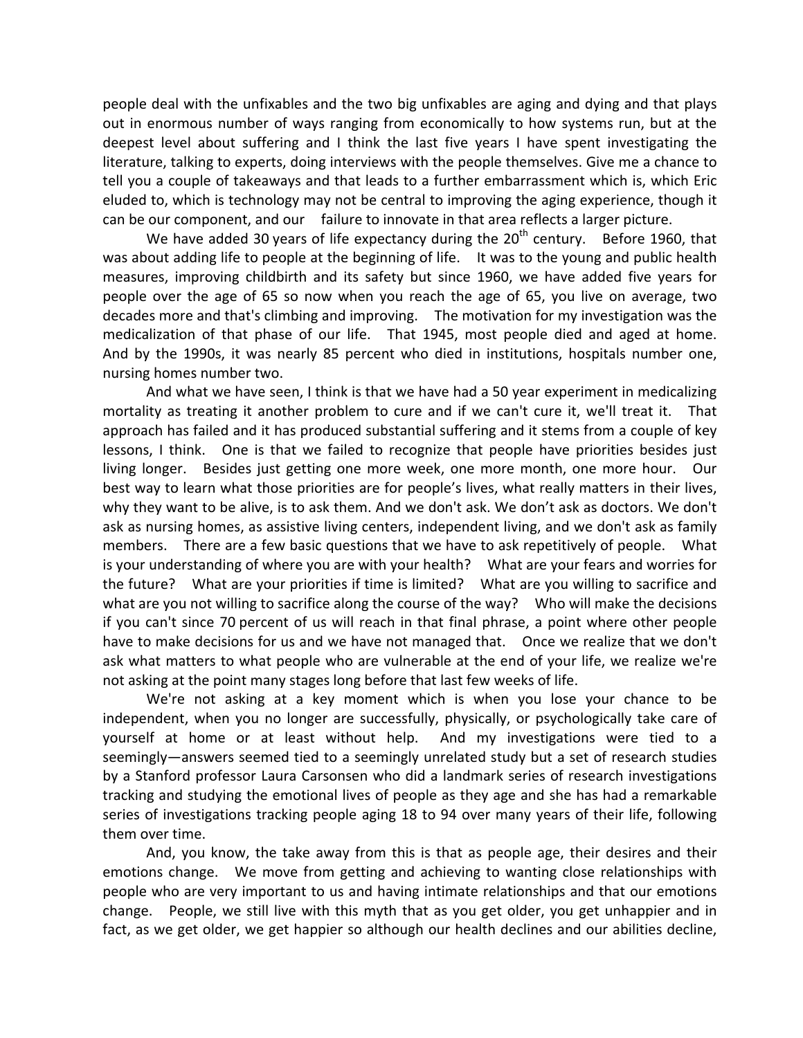people deal with the unfixables and the two big unfixables are aging and dying and that plays out in enormous number of ways ranging from economically to how systems run, but at the deepest level about suffering and I think the last five years I have spent investigating the literature, talking to experts, doing interviews with the people themselves. Give me a chance to tell you a couple of takeaways and that leads to a further embarrassment which is, which Eric eluded to, which is technology may not be central to improving the aging experience, though it can be our component, and our failure to innovate in that area reflects a larger picture.

We have added 30 years of life expectancy during the  $20<sup>th</sup>$  century. Before 1960, that was about adding life to people at the beginning of life. It was to the young and public health measures, improving childbirth and its safety but since 1960, we have added five years for people over the age of 65 so now when you reach the age of 65, you live on average, two decades more and that's climbing and improving. The motivation for my investigation was the medicalization of that phase of our life. That 1945, most people died and aged at home. And by the 1990s, it was nearly 85 percent who died in institutions, hospitals number one, nursing homes number two.

And what we have seen, I think is that we have had a 50 year experiment in medicalizing mortality as treating it another problem to cure and if we can't cure it, we'll treat it. That approach has failed and it has produced substantial suffering and it stems from a couple of key lessons, I think. One is that we failed to recognize that people have priorities besides just living longer. Besides just getting one more week, one more month, one more hour. Our best way to learn what those priorities are for people's lives, what really matters in their lives, why they want to be alive, is to ask them. And we don't ask. We don't ask as doctors. We don't ask as nursing homes, as assistive living centers, independent living, and we don't ask as family members. There are a few basic questions that we have to ask repetitively of people. What is your understanding of where you are with your health? What are your fears and worries for the future? What are your priorities if time is limited? What are you willing to sacrifice and what are you not willing to sacrifice along the course of the way? Who will make the decisions if you can't since 70 percent of us will reach in that final phrase, a point where other people have to make decisions for us and we have not managed that. Once we realize that we don't ask what matters to what people who are vulnerable at the end of your life, we realize we're not asking at the point many stages long before that last few weeks of life.

We're not asking at a key moment which is when you lose your chance to be independent, when you no longer are successfully, physically, or psychologically take care of yourself at home or at least without help. And my investigations were tied to a seemingly—answers seemed tied to a seemingly unrelated study but a set of research studies by a Stanford professor Laura Carsonsen who did a landmark series of research investigations tracking and studying the emotional lives of people as they age and she has had a remarkable series of investigations tracking people aging 18 to 94 over many years of their life, following them over time.

And, you know, the take away from this is that as people age, their desires and their emotions change. We move from getting and achieving to wanting close relationships with people who are very important to us and having intimate relationships and that our emotions change. People, we still live with this myth that as you get older, you get unhappier and in fact, as we get older, we get happier so although our health declines and our abilities decline,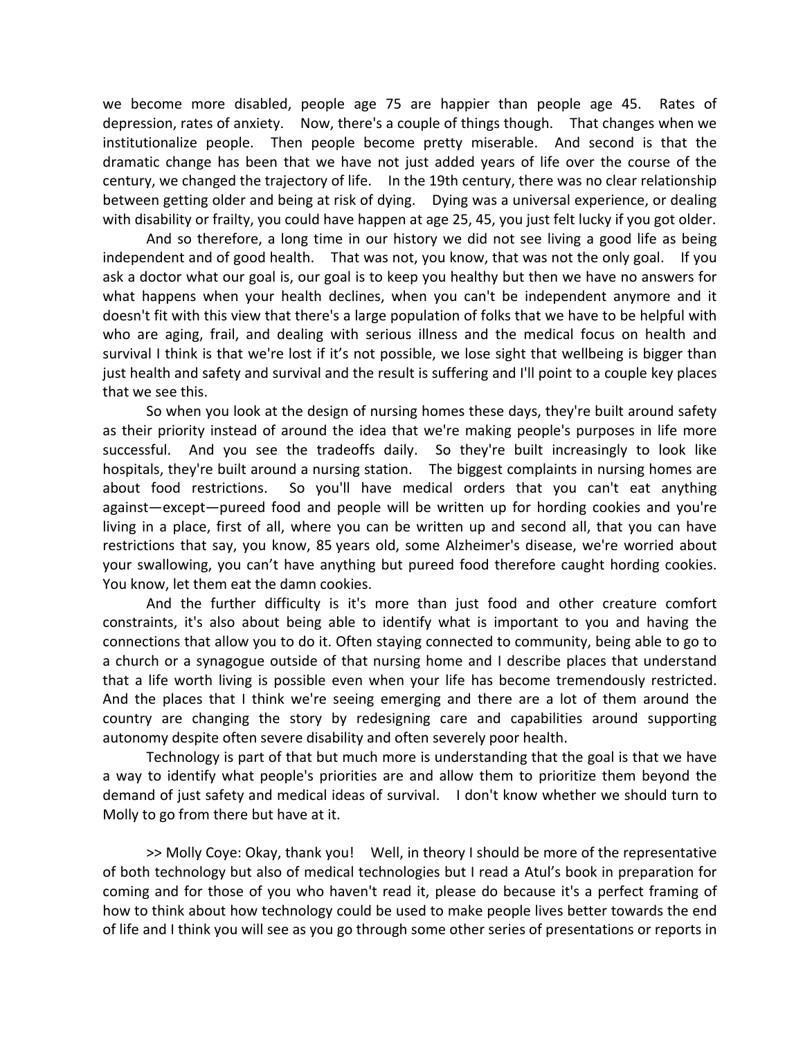we become more disabled, people age 75 are happier than people age 45. Rates of depression, rates of anxiety. Now, there's a couple of things though. That changes when we institutionalize people. Then people become pretty miserable. And second is that the dramatic change has been that we have not just added years of life over the course of the century, we changed the trajectory of life. In the 19th century, there was no clear relationship between getting older and being at risk of dying. Dying was a universal experience, or dealing with disability or frailty, you could have happen at age 25, 45, you just felt lucky if you got older.

And so therefore, a long time in our history we did not see living a good life as being independent and of good health. That was not, you know, that was not the only goal. If you ask a doctor what our goal is, our goal is to keep you healthy but then we have no answers for what happens when your health declines, when you can't be independent anymore and it doesn't fit with this view that there's a large population of folks that we have to be helpful with who are aging, frail, and dealing with serious illness and the medical focus on health and survival I think is that we're lost if it's not possible, we lose sight that wellbeing is bigger than just health and safety and survival and the result is suffering and I'll point to a couple key places that we see this.

So when you look at the design of nursing homes these days, they're built around safety as their priority instead of around the idea that we're making people's purposes in life more successful. And you see the tradeoffs daily. So they're built increasingly to look like hospitals, they're built around a nursing station. The biggest complaints in nursing homes are about food restrictions. So you'll have medical orders that you can't eat anything against—except—pureed food and people will be written up for hording cookies and you're living in a place, first of all, where you can be written up and second all, that you can have restrictions that say, you know, 85 years old, some Alzheimer's disease, we're worried about your swallowing, you can't have anything but pureed food therefore caught hording cookies. You know, let them eat the damn cookies.

And the further difficulty is it's more than just food and other creature comfort constraints, it's also about being able to identify what is important to you and having the connections that allow you to do it. Often staying connected to community, being able to go to a church or a synagogue outside of that nursing home and I describe places that understand that a life worth living is possible even when your life has become tremendously restricted. And the places that I think we're seeing emerging and there are a lot of them around the country are changing the story by redesigning care and capabilities around supporting autonomy despite often severe disability and often severely poor health.

Technology is part of that but much more is understanding that the goal is that we have a way to identify what people's priorities are and allow them to prioritize them beyond the demand of just safety and medical ideas of survival. I don't know whether we should turn to Molly to go from there but have at it.

>> Molly Coye: Okay, thank you! Well, in theory I should be more of the representative of both technology but also of medical technologies but I read a Atul's book in preparation for coming and for those of you who haven't read it, please do because it's a perfect framing of how to think about how technology could be used to make people lives better towards the end of life and I think you will see as you go through some other series of presentations or reports in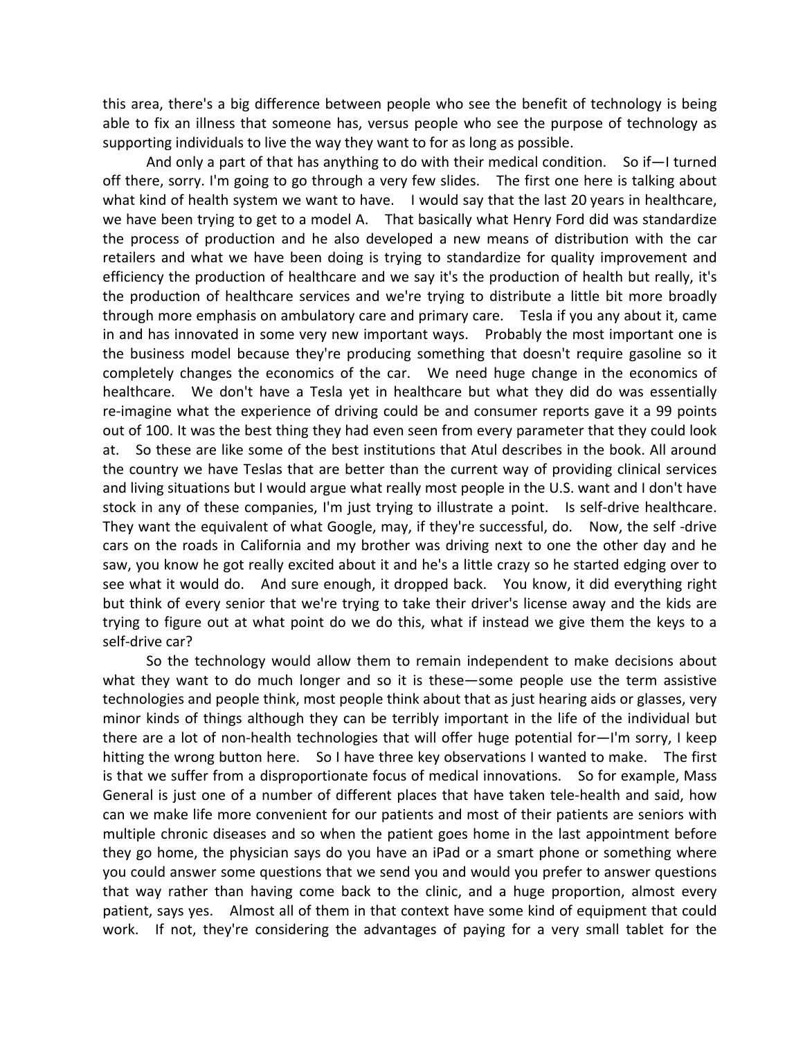this area, there's a big difference between people who see the benefit of technology is being able to fix an illness that someone has, versus people who see the purpose of technology as supporting individuals to live the way they want to for as long as possible.

And only a part of that has anything to do with their medical condition. So if—I turned off there, sorry. I'm going to go through a very few slides. The first one here is talking about what kind of health system we want to have. I would say that the last 20 years in healthcare, we have been trying to get to a model A. That basically what Henry Ford did was standardize the process of production and he also developed a new means of distribution with the car retailers and what we have been doing is trying to standardize for quality improvement and efficiency the production of healthcare and we say it's the production of health but really, it's the production of healthcare services and we're trying to distribute a little bit more broadly through more emphasis on ambulatory care and primary care. Tesla if you any about it, came in and has innovated in some very new important ways. Probably the most important one is the business model because they're producing something that doesn't require gasoline so it completely changes the economics of the car. We need huge change in the economics of healthcare. We don't have a Tesla yet in healthcare but what they did do was essentially re-imagine what the experience of driving could be and consumer reports gave it a 99 points out of 100. It was the best thing they had even seen from every parameter that they could look at. So these are like some of the best institutions that Atul describes in the book. All around the country we have Teslas that are better than the current way of providing clinical services and living situations but I would argue what really most people in the U.S. want and I don't have stock in any of these companies, I'm just trying to illustrate a point. Is self-drive healthcare. They want the equivalent of what Google, may, if they're successful, do. Now, the self -drive cars on the roads in California and my brother was driving next to one the other day and he saw, you know he got really excited about it and he's a little crazy so he started edging over to see what it would do. And sure enough, it dropped back. You know, it did everything right but think of every senior that we're trying to take their driver's license away and the kids are trying to figure out at what point do we do this, what if instead we give them the keys to a self‐drive car?

So the technology would allow them to remain independent to make decisions about what they want to do much longer and so it is these—some people use the term assistive technologies and people think, most people think about that as just hearing aids or glasses, very minor kinds of things although they can be terribly important in the life of the individual but there are a lot of non‐health technologies that will offer huge potential for—I'm sorry, I keep hitting the wrong button here. So I have three key observations I wanted to make. The first is that we suffer from a disproportionate focus of medical innovations. So for example, Mass General is just one of a number of different places that have taken tele‐health and said, how can we make life more convenient for our patients and most of their patients are seniors with multiple chronic diseases and so when the patient goes home in the last appointment before they go home, the physician says do you have an iPad or a smart phone or something where you could answer some questions that we send you and would you prefer to answer questions that way rather than having come back to the clinic, and a huge proportion, almost every patient, says yes. Almost all of them in that context have some kind of equipment that could work. If not, they're considering the advantages of paying for a very small tablet for the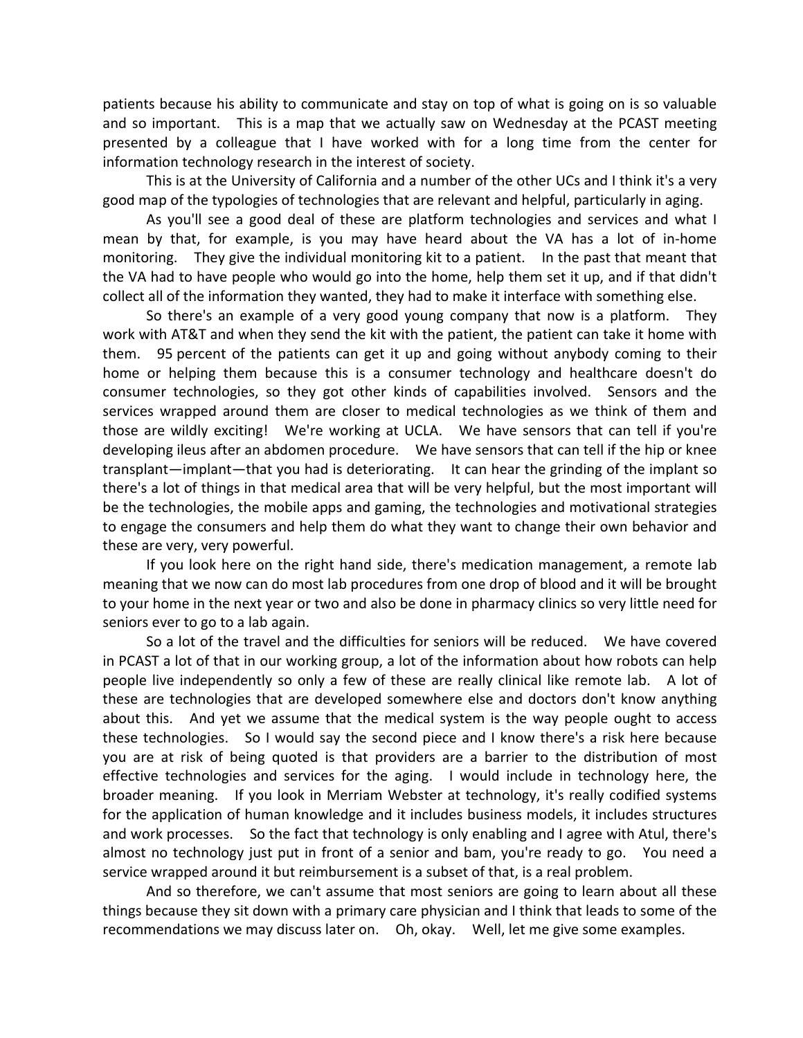patients because his ability to communicate and stay on top of what is going on is so valuable and so important. This is a map that we actually saw on Wednesday at the PCAST meeting presented by a colleague that I have worked with for a long time from the center for information technology research in the interest of society.

This is at the University of California and a number of the other UCs and I think it's a very good map of the typologies of technologies that are relevant and helpful, particularly in aging.

As you'll see a good deal of these are platform technologies and services and what I mean by that, for example, is you may have heard about the VA has a lot of in‐home monitoring. They give the individual monitoring kit to a patient. In the past that meant that the VA had to have people who would go into the home, help them set it up, and if that didn't collect all of the information they wanted, they had to make it interface with something else.

So there's an example of a very good young company that now is a platform. They work with AT&T and when they send the kit with the patient, the patient can take it home with them. 95 percent of the patients can get it up and going without anybody coming to their home or helping them because this is a consumer technology and healthcare doesn't do consumer technologies, so they got other kinds of capabilities involved. Sensors and the services wrapped around them are closer to medical technologies as we think of them and those are wildly exciting! We're working at UCLA. We have sensors that can tell if you're developing ileus after an abdomen procedure. We have sensors that can tell if the hip or knee transplant—implant—that you had is deteriorating. It can hear the grinding of the implant so there's a lot of things in that medical area that will be very helpful, but the most important will be the technologies, the mobile apps and gaming, the technologies and motivational strategies to engage the consumers and help them do what they want to change their own behavior and these are very, very powerful.

If you look here on the right hand side, there's medication management, a remote lab meaning that we now can do most lab procedures from one drop of blood and it will be brought to your home in the next year or two and also be done in pharmacy clinics so very little need for seniors ever to go to a lab again.

So a lot of the travel and the difficulties for seniors will be reduced. We have covered in PCAST a lot of that in our working group, a lot of the information about how robots can help people live independently so only a few of these are really clinical like remote lab. A lot of these are technologies that are developed somewhere else and doctors don't know anything about this. And yet we assume that the medical system is the way people ought to access these technologies. So I would say the second piece and I know there's a risk here because you are at risk of being quoted is that providers are a barrier to the distribution of most effective technologies and services for the aging. I would include in technology here, the broader meaning. If you look in Merriam Webster at technology, it's really codified systems for the application of human knowledge and it includes business models, it includes structures and work processes. So the fact that technology is only enabling and I agree with Atul, there's almost no technology just put in front of a senior and bam, you're ready to go. You need a service wrapped around it but reimbursement is a subset of that, is a real problem.

And so therefore, we can't assume that most seniors are going to learn about all these things because they sit down with a primary care physician and I think that leads to some of the recommendations we may discuss later on. Oh, okay. Well, let me give some examples.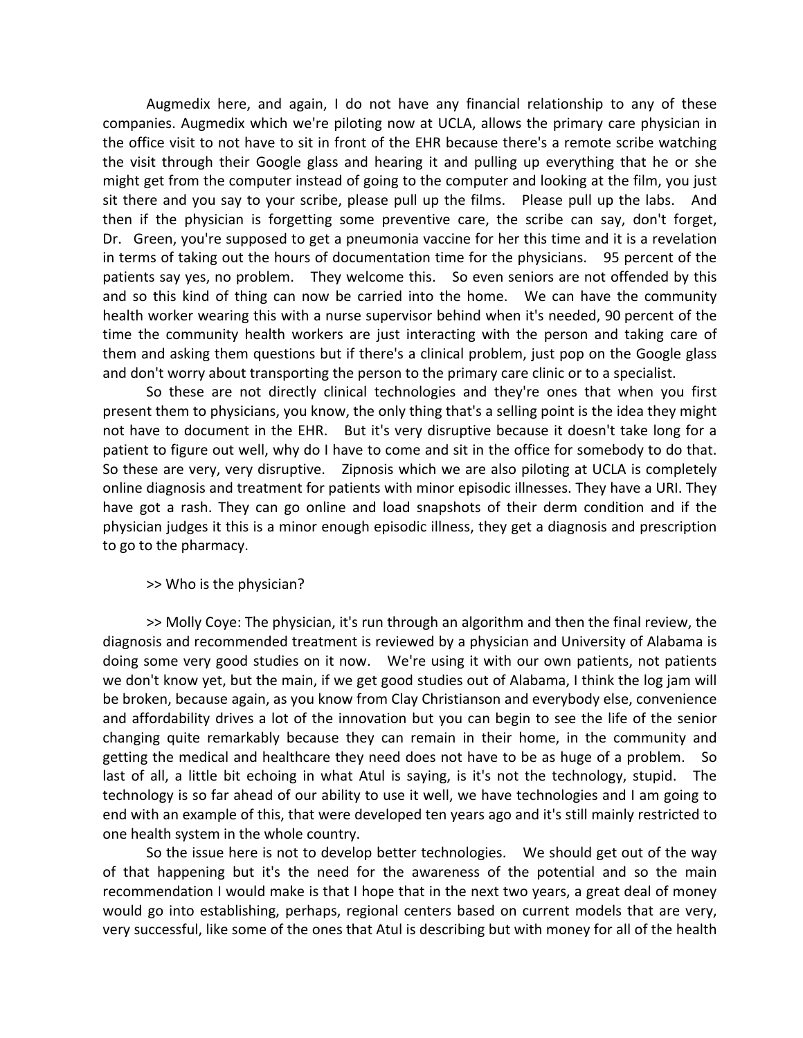Augmedix here, and again, I do not have any financial relationship to any of these companies. Augmedix which we're piloting now at UCLA, allows the primary care physician in the office visit to not have to sit in front of the EHR because there's a remote scribe watching the visit through their Google glass and hearing it and pulling up everything that he or she might get from the computer instead of going to the computer and looking at the film, you just sit there and you say to your scribe, please pull up the films. Please pull up the labs. And then if the physician is forgetting some preventive care, the scribe can say, don't forget, Dr. Green, you're supposed to get a pneumonia vaccine for her this time and it is a revelation in terms of taking out the hours of documentation time for the physicians. 95 percent of the patients say yes, no problem. They welcome this. So even seniors are not offended by this and so this kind of thing can now be carried into the home. We can have the community health worker wearing this with a nurse supervisor behind when it's needed, 90 percent of the time the community health workers are just interacting with the person and taking care of them and asking them questions but if there's a clinical problem, just pop on the Google glass and don't worry about transporting the person to the primary care clinic or to a specialist.

So these are not directly clinical technologies and they're ones that when you first present them to physicians, you know, the only thing that's a selling point is the idea they might not have to document in the EHR. But it's very disruptive because it doesn't take long for a patient to figure out well, why do I have to come and sit in the office for somebody to do that. So these are very, very disruptive. Zipnosis which we are also piloting at UCLA is completely online diagnosis and treatment for patients with minor episodic illnesses. They have a URI. They have got a rash. They can go online and load snapshots of their derm condition and if the physician judges it this is a minor enough episodic illness, they get a diagnosis and prescription to go to the pharmacy.

### >> Who is the physician?

>> Molly Coye: The physician, it's run through an algorithm and then the final review, the diagnosis and recommended treatment is reviewed by a physician and University of Alabama is doing some very good studies on it now. We're using it with our own patients, not patients we don't know yet, but the main, if we get good studies out of Alabama, I think the log jam will be broken, because again, as you know from Clay Christianson and everybody else, convenience and affordability drives a lot of the innovation but you can begin to see the life of the senior changing quite remarkably because they can remain in their home, in the community and getting the medical and healthcare they need does not have to be as huge of a problem. So last of all, a little bit echoing in what Atul is saying, is it's not the technology, stupid. The technology is so far ahead of our ability to use it well, we have technologies and I am going to end with an example of this, that were developed ten years ago and it's still mainly restricted to one health system in the whole country.

So the issue here is not to develop better technologies. We should get out of the way of that happening but it's the need for the awareness of the potential and so the main recommendation I would make is that I hope that in the next two years, a great deal of money would go into establishing, perhaps, regional centers based on current models that are very, very successful, like some of the ones that Atul is describing but with money for all of the health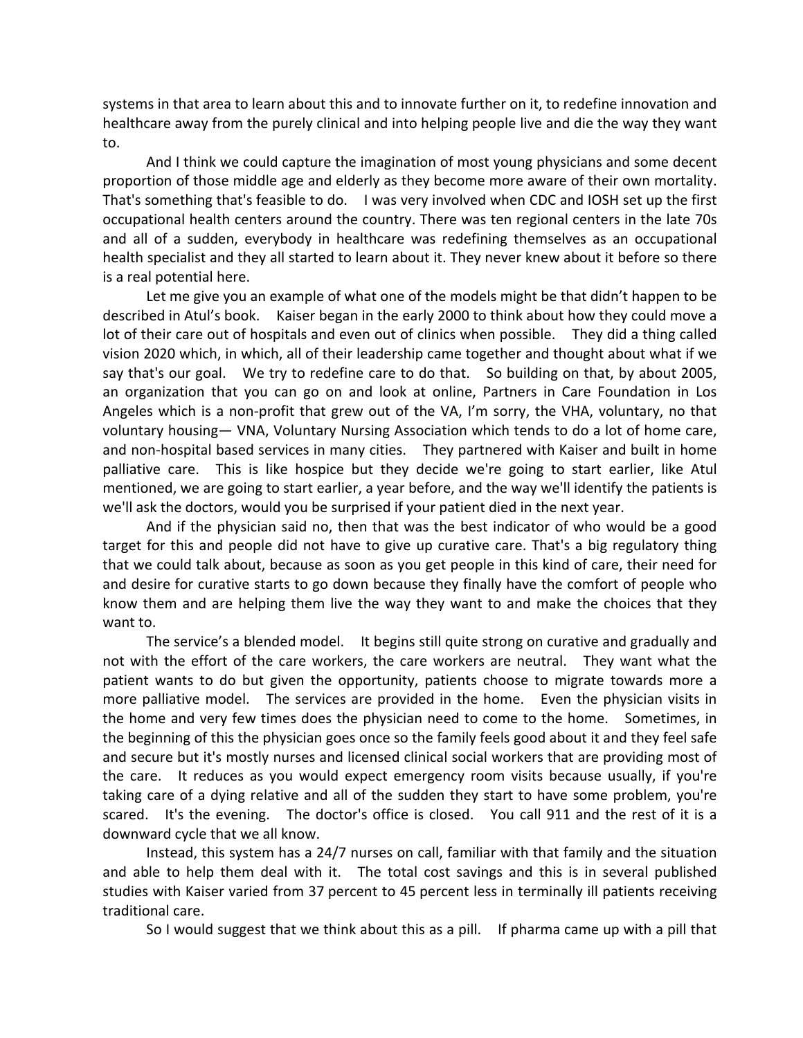systems in that area to learn about this and to innovate further on it, to redefine innovation and healthcare away from the purely clinical and into helping people live and die the way they want to.

And I think we could capture the imagination of most young physicians and some decent proportion of those middle age and elderly as they become more aware of their own mortality. That's something that's feasible to do. I was very involved when CDC and IOSH set up the first occupational health centers around the country. There was ten regional centers in the late 70s and all of a sudden, everybody in healthcare was redefining themselves as an occupational health specialist and they all started to learn about it. They never knew about it before so there is a real potential here.

Let me give you an example of what one of the models might be that didn't happen to be described in Atul's book. Kaiser began in the early 2000 to think about how they could move a lot of their care out of hospitals and even out of clinics when possible. They did a thing called vision 2020 which, in which, all of their leadership came together and thought about what if we say that's our goal. We try to redefine care to do that. So building on that, by about 2005, an organization that you can go on and look at online, Partners in Care Foundation in Los Angeles which is a non‐profit that grew out of the VA, I'm sorry, the VHA, voluntary, no that voluntary housing— VNA, Voluntary Nursing Association which tends to do a lot of home care, and non-hospital based services in many cities. They partnered with Kaiser and built in home palliative care. This is like hospice but they decide we're going to start earlier, like Atul mentioned, we are going to start earlier, a year before, and the way we'll identify the patients is we'll ask the doctors, would you be surprised if your patient died in the next year.

And if the physician said no, then that was the best indicator of who would be a good target for this and people did not have to give up curative care. That's a big regulatory thing that we could talk about, because as soon as you get people in this kind of care, their need for and desire for curative starts to go down because they finally have the comfort of people who know them and are helping them live the way they want to and make the choices that they want to.

The service's a blended model. It begins still quite strong on curative and gradually and not with the effort of the care workers, the care workers are neutral. They want what the patient wants to do but given the opportunity, patients choose to migrate towards more a more palliative model. The services are provided in the home. Even the physician visits in the home and very few times does the physician need to come to the home. Sometimes, in the beginning of this the physician goes once so the family feels good about it and they feel safe and secure but it's mostly nurses and licensed clinical social workers that are providing most of the care. It reduces as you would expect emergency room visits because usually, if you're taking care of a dying relative and all of the sudden they start to have some problem, you're scared. It's the evening. The doctor's office is closed. You call 911 and the rest of it is a downward cycle that we all know.

Instead, this system has a 24/7 nurses on call, familiar with that family and the situation and able to help them deal with it. The total cost savings and this is in several published studies with Kaiser varied from 37 percent to 45 percent less in terminally ill patients receiving traditional care.

So I would suggest that we think about this as a pill. If pharma came up with a pill that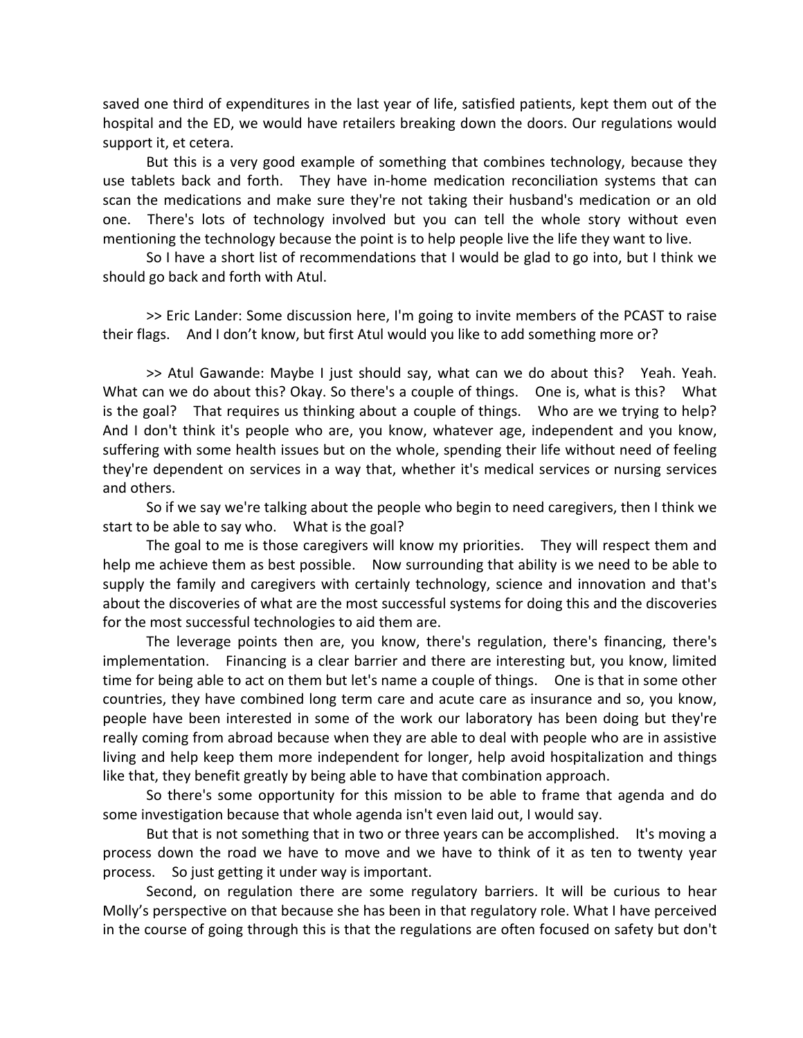saved one third of expenditures in the last year of life, satisfied patients, kept them out of the hospital and the ED, we would have retailers breaking down the doors. Our regulations would support it, et cetera.

But this is a very good example of something that combines technology, because they use tablets back and forth. They have in‐home medication reconciliation systems that can scan the medications and make sure they're not taking their husband's medication or an old one. There's lots of technology involved but you can tell the whole story without even mentioning the technology because the point is to help people live the life they want to live.

So I have a short list of recommendations that I would be glad to go into, but I think we should go back and forth with Atul.

>> Eric Lander: Some discussion here, I'm going to invite members of the PCAST to raise their flags. And I don't know, but first Atul would you like to add something more or?

>> Atul Gawande: Maybe I just should say, what can we do about this? Yeah. Yeah. What can we do about this? Okay. So there's a couple of things. One is, what is this? What is the goal? That requires us thinking about a couple of things. Who are we trying to help? And I don't think it's people who are, you know, whatever age, independent and you know, suffering with some health issues but on the whole, spending their life without need of feeling they're dependent on services in a way that, whether it's medical services or nursing services and others.

So if we say we're talking about the people who begin to need caregivers, then I think we start to be able to say who. What is the goal?

The goal to me is those caregivers will know my priorities. They will respect them and help me achieve them as best possible. Now surrounding that ability is we need to be able to supply the family and caregivers with certainly technology, science and innovation and that's about the discoveries of what are the most successful systems for doing this and the discoveries for the most successful technologies to aid them are.

The leverage points then are, you know, there's regulation, there's financing, there's implementation. Financing is a clear barrier and there are interesting but, you know, limited time for being able to act on them but let's name a couple of things. One is that in some other countries, they have combined long term care and acute care as insurance and so, you know, people have been interested in some of the work our laboratory has been doing but they're really coming from abroad because when they are able to deal with people who are in assistive living and help keep them more independent for longer, help avoid hospitalization and things like that, they benefit greatly by being able to have that combination approach.

So there's some opportunity for this mission to be able to frame that agenda and do some investigation because that whole agenda isn't even laid out, I would say.

But that is not something that in two or three years can be accomplished. It's moving a process down the road we have to move and we have to think of it as ten to twenty year process. So just getting it under way is important.

Second, on regulation there are some regulatory barriers. It will be curious to hear Molly's perspective on that because she has been in that regulatory role. What I have perceived in the course of going through this is that the regulations are often focused on safety but don't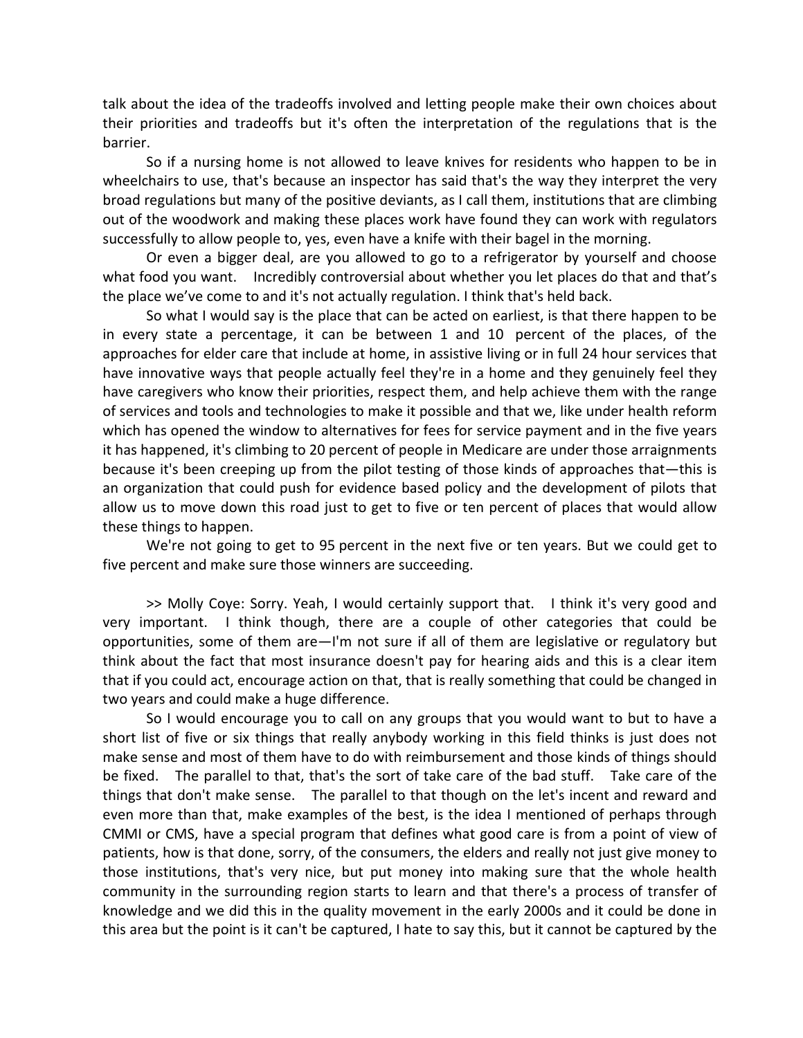talk about the idea of the tradeoffs involved and letting people make their own choices about their priorities and tradeoffs but it's often the interpretation of the regulations that is the barrier.

So if a nursing home is not allowed to leave knives for residents who happen to be in wheelchairs to use, that's because an inspector has said that's the way they interpret the very broad regulations but many of the positive deviants, as I call them, institutions that are climbing out of the woodwork and making these places work have found they can work with regulators successfully to allow people to, yes, even have a knife with their bagel in the morning.

Or even a bigger deal, are you allowed to go to a refrigerator by yourself and choose what food you want. Incredibly controversial about whether you let places do that and that's the place we've come to and it's not actually regulation. I think that's held back.

So what I would say is the place that can be acted on earliest, is that there happen to be in every state a percentage, it can be between 1 and 10 percent of the places, of the approaches for elder care that include at home, in assistive living or in full 24 hour services that have innovative ways that people actually feel they're in a home and they genuinely feel they have caregivers who know their priorities, respect them, and help achieve them with the range of services and tools and technologies to make it possible and that we, like under health reform which has opened the window to alternatives for fees for service payment and in the five years it has happened, it's climbing to 20 percent of people in Medicare are under those arraignments because it's been creeping up from the pilot testing of those kinds of approaches that—this is an organization that could push for evidence based policy and the development of pilots that allow us to move down this road just to get to five or ten percent of places that would allow these things to happen.

We're not going to get to 95 percent in the next five or ten years. But we could get to five percent and make sure those winners are succeeding.

>> Molly Coye: Sorry. Yeah, I would certainly support that. I think it's very good and very important. I think though, there are a couple of other categories that could be opportunities, some of them are—I'm not sure if all of them are legislative or regulatory but think about the fact that most insurance doesn't pay for hearing aids and this is a clear item that if you could act, encourage action on that, that is really something that could be changed in two years and could make a huge difference.

So I would encourage you to call on any groups that you would want to but to have a short list of five or six things that really anybody working in this field thinks is just does not make sense and most of them have to do with reimbursement and those kinds of things should be fixed. The parallel to that, that's the sort of take care of the bad stuff. Take care of the things that don't make sense. The parallel to that though on the let's incent and reward and even more than that, make examples of the best, is the idea I mentioned of perhaps through CMMI or CMS, have a special program that defines what good care is from a point of view of patients, how is that done, sorry, of the consumers, the elders and really not just give money to those institutions, that's very nice, but put money into making sure that the whole health community in the surrounding region starts to learn and that there's a process of transfer of knowledge and we did this in the quality movement in the early 2000s and it could be done in this area but the point is it can't be captured, I hate to say this, but it cannot be captured by the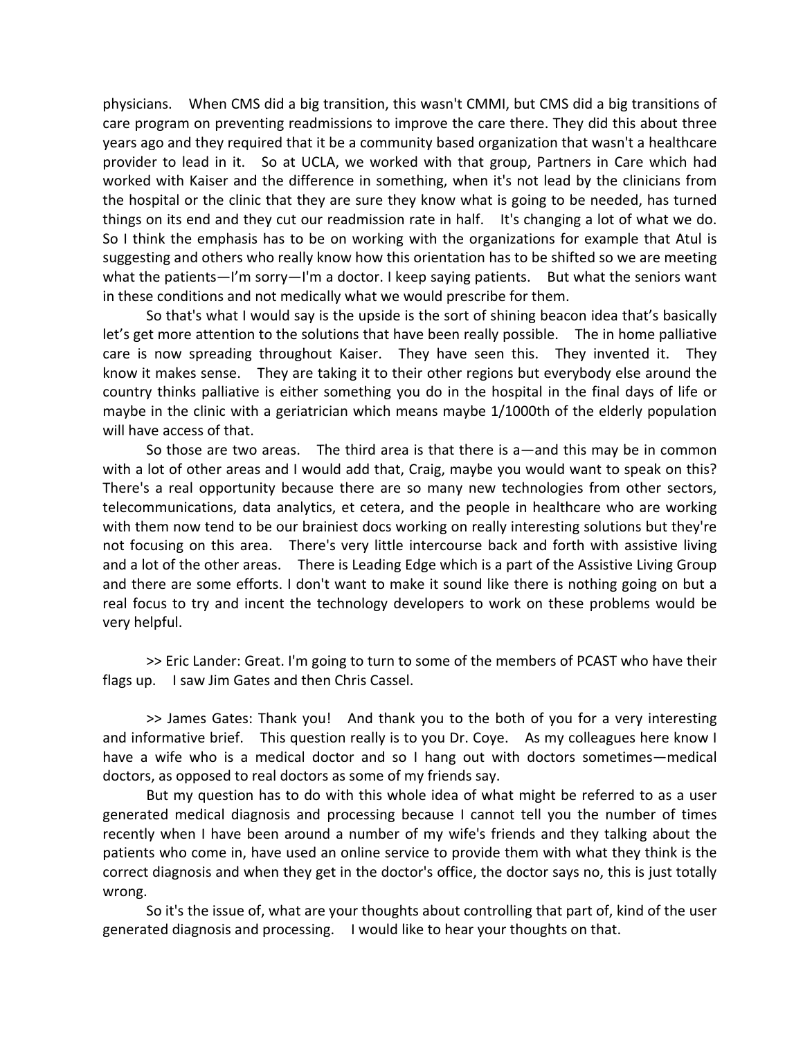physicians. When CMS did a big transition, this wasn't CMMI, but CMS did a big transitions of care program on preventing readmissions to improve the care there. They did this about three years ago and they required that it be a community based organization that wasn't a healthcare provider to lead in it. So at UCLA, we worked with that group, Partners in Care which had worked with Kaiser and the difference in something, when it's not lead by the clinicians from the hospital or the clinic that they are sure they know what is going to be needed, has turned things on its end and they cut our readmission rate in half. It's changing a lot of what we do. So I think the emphasis has to be on working with the organizations for example that Atul is suggesting and others who really know how this orientation has to be shifted so we are meeting what the patients—I'm sorry—I'm a doctor. I keep saying patients. But what the seniors want in these conditions and not medically what we would prescribe for them.

So that's what I would say is the upside is the sort of shining beacon idea that's basically let's get more attention to the solutions that have been really possible. The in home palliative care is now spreading throughout Kaiser. They have seen this. They invented it. They know it makes sense. They are taking it to their other regions but everybody else around the country thinks palliative is either something you do in the hospital in the final days of life or maybe in the clinic with a geriatrician which means maybe 1/1000th of the elderly population will have access of that.

So those are two areas. The third area is that there is a—and this may be in common with a lot of other areas and I would add that, Craig, maybe you would want to speak on this? There's a real opportunity because there are so many new technologies from other sectors, telecommunications, data analytics, et cetera, and the people in healthcare who are working with them now tend to be our brainiest docs working on really interesting solutions but they're not focusing on this area. There's very little intercourse back and forth with assistive living and a lot of the other areas. There is Leading Edge which is a part of the Assistive Living Group and there are some efforts. I don't want to make it sound like there is nothing going on but a real focus to try and incent the technology developers to work on these problems would be very helpful.

>> Eric Lander: Great. I'm going to turn to some of the members of PCAST who have their flags up. I saw Jim Gates and then Chris Cassel.

>> James Gates: Thank you! And thank you to the both of you for a very interesting and informative brief. This question really is to you Dr. Coye. As my colleagues here know I have a wife who is a medical doctor and so I hang out with doctors sometimes—medical doctors, as opposed to real doctors as some of my friends say.

But my question has to do with this whole idea of what might be referred to as a user generated medical diagnosis and processing because I cannot tell you the number of times recently when I have been around a number of my wife's friends and they talking about the patients who come in, have used an online service to provide them with what they think is the correct diagnosis and when they get in the doctor's office, the doctor says no, this is just totally wrong.

So it's the issue of, what are your thoughts about controlling that part of, kind of the user generated diagnosis and processing. I would like to hear your thoughts on that.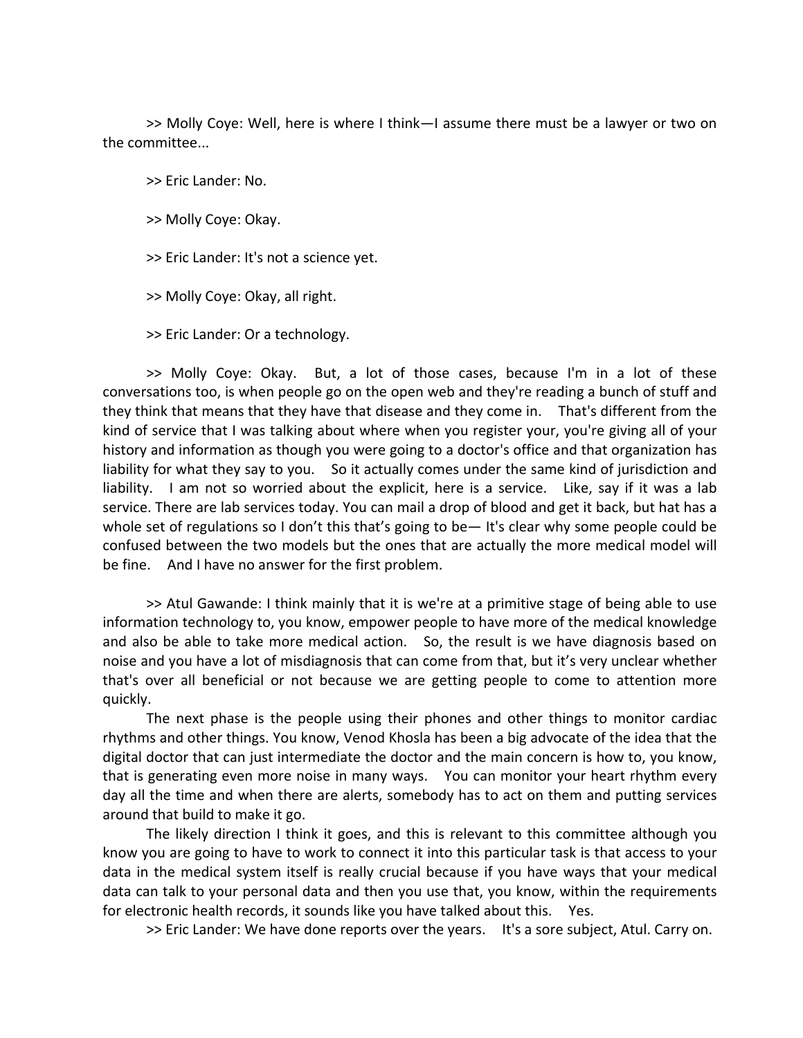>> Molly Coye: Well, here is where I think—I assume there must be a lawyer or two on the committee...

>> Eric Lander: No.

>> Molly Coye: Okay.

>> Eric Lander: It's not a science yet.

>> Molly Coye: Okay, all right.

>> Eric Lander: Or a technology.

>> Molly Coye: Okay. But, a lot of those cases, because I'm in a lot of these conversations too, is when people go on the open web and they're reading a bunch of stuff and they think that means that they have that disease and they come in. That's different from the kind of service that I was talking about where when you register your, you're giving all of your history and information as though you were going to a doctor's office and that organization has liability for what they say to you. So it actually comes under the same kind of jurisdiction and liability. I am not so worried about the explicit, here is a service. Like, say if it was a lab service. There are lab services today. You can mail a drop of blood and get it back, but hat has a whole set of regulations so I don't this that's going to be— It's clear why some people could be confused between the two models but the ones that are actually the more medical model will be fine. And I have no answer for the first problem.

>> Atul Gawande: I think mainly that it is we're at a primitive stage of being able to use information technology to, you know, empower people to have more of the medical knowledge and also be able to take more medical action. So, the result is we have diagnosis based on noise and you have a lot of misdiagnosis that can come from that, but it's very unclear whether that's over all beneficial or not because we are getting people to come to attention more quickly.

The next phase is the people using their phones and other things to monitor cardiac rhythms and other things. You know, Venod Khosla has been a big advocate of the idea that the digital doctor that can just intermediate the doctor and the main concern is how to, you know, that is generating even more noise in many ways. You can monitor your heart rhythm every day all the time and when there are alerts, somebody has to act on them and putting services around that build to make it go.

The likely direction I think it goes, and this is relevant to this committee although you know you are going to have to work to connect it into this particular task is that access to your data in the medical system itself is really crucial because if you have ways that your medical data can talk to your personal data and then you use that, you know, within the requirements for electronic health records, it sounds like you have talked about this. Yes.

>> Eric Lander: We have done reports over the years. It's a sore subject, Atul. Carry on.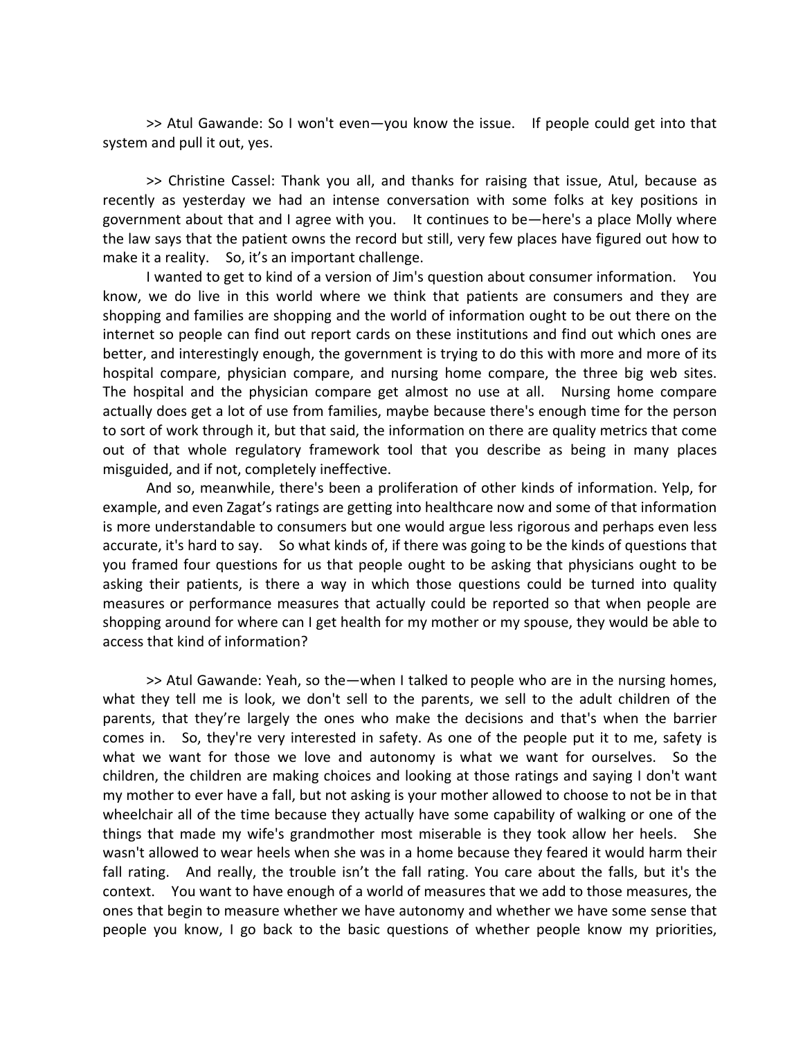>> Atul Gawande: So I won't even—you know the issue. If people could get into that system and pull it out, yes.

>> Christine Cassel: Thank you all, and thanks for raising that issue, Atul, because as recently as yesterday we had an intense conversation with some folks at key positions in government about that and I agree with you. It continues to be—here's a place Molly where the law says that the patient owns the record but still, very few places have figured out how to make it a reality. So, it's an important challenge.

I wanted to get to kind of a version of Jim's question about consumer information. You know, we do live in this world where we think that patients are consumers and they are shopping and families are shopping and the world of information ought to be out there on the internet so people can find out report cards on these institutions and find out which ones are better, and interestingly enough, the government is trying to do this with more and more of its hospital compare, physician compare, and nursing home compare, the three big web sites. The hospital and the physician compare get almost no use at all. Nursing home compare actually does get a lot of use from families, maybe because there's enough time for the person to sort of work through it, but that said, the information on there are quality metrics that come out of that whole regulatory framework tool that you describe as being in many places misguided, and if not, completely ineffective.

And so, meanwhile, there's been a proliferation of other kinds of information. Yelp, for example, and even Zagat's ratings are getting into healthcare now and some of that information is more understandable to consumers but one would argue less rigorous and perhaps even less accurate, it's hard to say. So what kinds of, if there was going to be the kinds of questions that you framed four questions for us that people ought to be asking that physicians ought to be asking their patients, is there a way in which those questions could be turned into quality measures or performance measures that actually could be reported so that when people are shopping around for where can I get health for my mother or my spouse, they would be able to access that kind of information?

>> Atul Gawande: Yeah, so the—when I talked to people who are in the nursing homes, what they tell me is look, we don't sell to the parents, we sell to the adult children of the parents, that they're largely the ones who make the decisions and that's when the barrier comes in. So, they're very interested in safety. As one of the people put it to me, safety is what we want for those we love and autonomy is what we want for ourselves. So the children, the children are making choices and looking at those ratings and saying I don't want my mother to ever have a fall, but not asking is your mother allowed to choose to not be in that wheelchair all of the time because they actually have some capability of walking or one of the things that made my wife's grandmother most miserable is they took allow her heels. She wasn't allowed to wear heels when she was in a home because they feared it would harm their fall rating. And really, the trouble isn't the fall rating. You care about the falls, but it's the context. You want to have enough of a world of measures that we add to those measures, the ones that begin to measure whether we have autonomy and whether we have some sense that people you know, I go back to the basic questions of whether people know my priorities,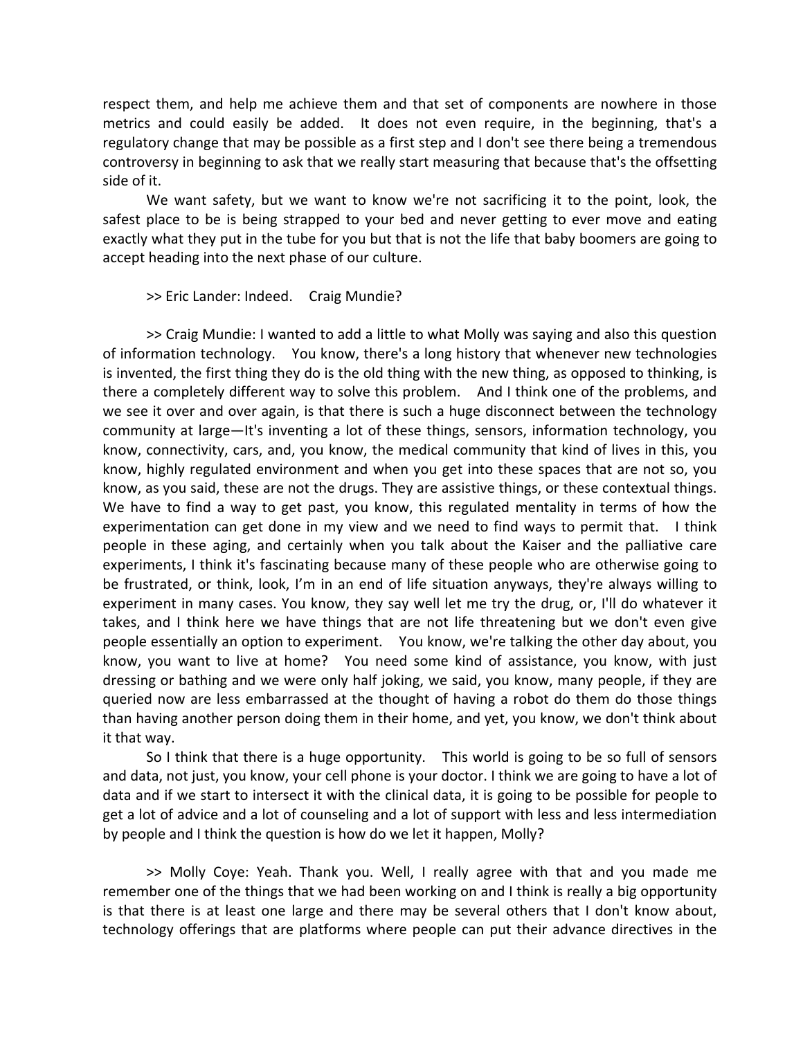respect them, and help me achieve them and that set of components are nowhere in those metrics and could easily be added. It does not even require, in the beginning, that's a regulatory change that may be possible as a first step and I don't see there being a tremendous controversy in beginning to ask that we really start measuring that because that's the offsetting side of it.

We want safety, but we want to know we're not sacrificing it to the point, look, the safest place to be is being strapped to your bed and never getting to ever move and eating exactly what they put in the tube for you but that is not the life that baby boomers are going to accept heading into the next phase of our culture.

## >> Eric Lander: Indeed. Craig Mundie?

>> Craig Mundie: I wanted to add a little to what Molly was saying and also this question of information technology. You know, there's a long history that whenever new technologies is invented, the first thing they do is the old thing with the new thing, as opposed to thinking, is there a completely different way to solve this problem. And I think one of the problems, and we see it over and over again, is that there is such a huge disconnect between the technology community at large—It's inventing a lot of these things, sensors, information technology, you know, connectivity, cars, and, you know, the medical community that kind of lives in this, you know, highly regulated environment and when you get into these spaces that are not so, you know, as you said, these are not the drugs. They are assistive things, or these contextual things. We have to find a way to get past, you know, this regulated mentality in terms of how the experimentation can get done in my view and we need to find ways to permit that. I think people in these aging, and certainly when you talk about the Kaiser and the palliative care experiments, I think it's fascinating because many of these people who are otherwise going to be frustrated, or think, look, I'm in an end of life situation anyways, they're always willing to experiment in many cases. You know, they say well let me try the drug, or, I'll do whatever it takes, and I think here we have things that are not life threatening but we don't even give people essentially an option to experiment. You know, we're talking the other day about, you know, you want to live at home? You need some kind of assistance, you know, with just dressing or bathing and we were only half joking, we said, you know, many people, if they are queried now are less embarrassed at the thought of having a robot do them do those things than having another person doing them in their home, and yet, you know, we don't think about it that way.

So I think that there is a huge opportunity. This world is going to be so full of sensors and data, not just, you know, your cell phone is your doctor. I think we are going to have a lot of data and if we start to intersect it with the clinical data, it is going to be possible for people to get a lot of advice and a lot of counseling and a lot of support with less and less intermediation by people and I think the question is how do we let it happen, Molly?

>> Molly Coye: Yeah. Thank you. Well, I really agree with that and you made me remember one of the things that we had been working on and I think is really a big opportunity is that there is at least one large and there may be several others that I don't know about, technology offerings that are platforms where people can put their advance directives in the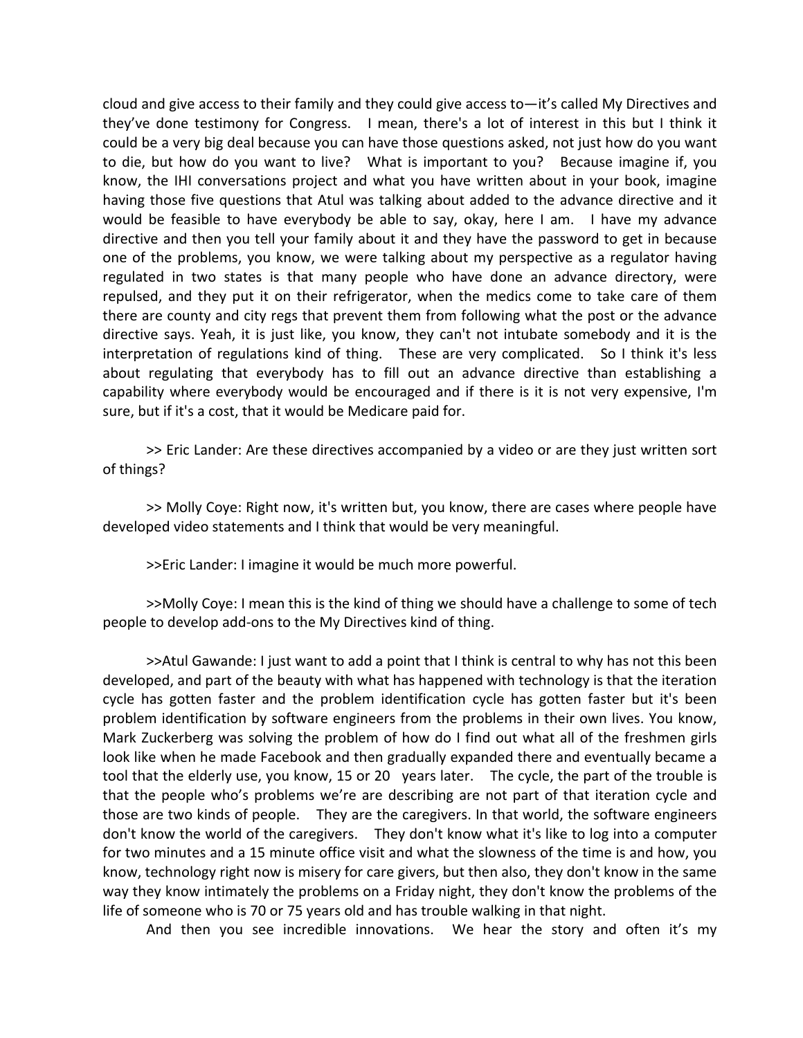cloud and give access to their family and they could give access to—it's called My Directives and they've done testimony for Congress. I mean, there's a lot of interest in this but I think it could be a very big deal because you can have those questions asked, not just how do you want to die, but how do you want to live? What is important to you? Because imagine if, you know, the IHI conversations project and what you have written about in your book, imagine having those five questions that Atul was talking about added to the advance directive and it would be feasible to have everybody be able to say, okay, here I am. I have my advance directive and then you tell your family about it and they have the password to get in because one of the problems, you know, we were talking about my perspective as a regulator having regulated in two states is that many people who have done an advance directory, were repulsed, and they put it on their refrigerator, when the medics come to take care of them there are county and city regs that prevent them from following what the post or the advance directive says. Yeah, it is just like, you know, they can't not intubate somebody and it is the interpretation of regulations kind of thing. These are very complicated. So I think it's less about regulating that everybody has to fill out an advance directive than establishing a capability where everybody would be encouraged and if there is it is not very expensive, I'm sure, but if it's a cost, that it would be Medicare paid for.

>> Eric Lander: Are these directives accompanied by a video or are they just written sort of things?

>> Molly Coye: Right now, it's written but, you know, there are cases where people have developed video statements and I think that would be very meaningful.

>>Eric Lander: I imagine it would be much more powerful.

>>Molly Coye: I mean this is the kind of thing we should have a challenge to some of tech people to develop add‐ons to the My Directives kind of thing.

>>Atul Gawande: I just want to add a point that I think is central to why has not this been developed, and part of the beauty with what has happened with technology is that the iteration cycle has gotten faster and the problem identification cycle has gotten faster but it's been problem identification by software engineers from the problems in their own lives. You know, Mark Zuckerberg was solving the problem of how do I find out what all of the freshmen girls look like when he made Facebook and then gradually expanded there and eventually became a tool that the elderly use, you know, 15 or 20 years later. The cycle, the part of the trouble is that the people who's problems we're are describing are not part of that iteration cycle and those are two kinds of people. They are the caregivers. In that world, the software engineers don't know the world of the caregivers. They don't know what it's like to log into a computer for two minutes and a 15 minute office visit and what the slowness of the time is and how, you know, technology right now is misery for care givers, but then also, they don't know in the same way they know intimately the problems on a Friday night, they don't know the problems of the life of someone who is 70 or 75 years old and has trouble walking in that night.

And then you see incredible innovations. We hear the story and often it's my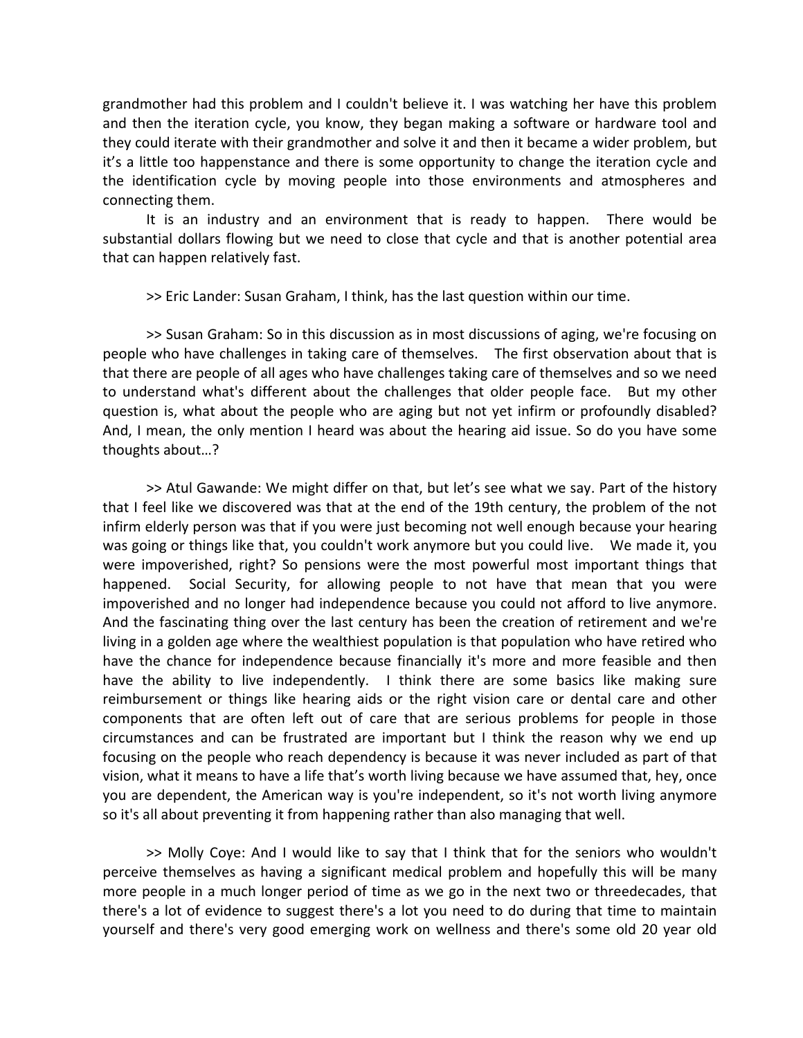grandmother had this problem and I couldn't believe it. I was watching her have this problem and then the iteration cycle, you know, they began making a software or hardware tool and they could iterate with their grandmother and solve it and then it became a wider problem, but it's a little too happenstance and there is some opportunity to change the iteration cycle and the identification cycle by moving people into those environments and atmospheres and connecting them.

It is an industry and an environment that is ready to happen. There would be substantial dollars flowing but we need to close that cycle and that is another potential area that can happen relatively fast.

>> Eric Lander: Susan Graham, I think, has the last question within our time.

>> Susan Graham: So in this discussion as in most discussions of aging, we're focusing on people who have challenges in taking care of themselves. The first observation about that is that there are people of all ages who have challenges taking care of themselves and so we need to understand what's different about the challenges that older people face. But my other question is, what about the people who are aging but not yet infirm or profoundly disabled? And, I mean, the only mention I heard was about the hearing aid issue. So do you have some thoughts about…?

>> Atul Gawande: We might differ on that, but let's see what we say. Part of the history that I feel like we discovered was that at the end of the 19th century, the problem of the not infirm elderly person was that if you were just becoming not well enough because your hearing was going or things like that, you couldn't work anymore but you could live. We made it, you were impoverished, right? So pensions were the most powerful most important things that happened. Social Security, for allowing people to not have that mean that you were impoverished and no longer had independence because you could not afford to live anymore. And the fascinating thing over the last century has been the creation of retirement and we're living in a golden age where the wealthiest population is that population who have retired who have the chance for independence because financially it's more and more feasible and then have the ability to live independently. I think there are some basics like making sure reimbursement or things like hearing aids or the right vision care or dental care and other components that are often left out of care that are serious problems for people in those circumstances and can be frustrated are important but I think the reason why we end up focusing on the people who reach dependency is because it was never included as part of that vision, what it means to have a life that's worth living because we have assumed that, hey, once you are dependent, the American way is you're independent, so it's not worth living anymore so it's all about preventing it from happening rather than also managing that well.

>> Molly Coye: And I would like to say that I think that for the seniors who wouldn't perceive themselves as having a significant medical problem and hopefully this will be many more people in a much longer period of time as we go in the next two or threedecades, that there's a lot of evidence to suggest there's a lot you need to do during that time to maintain yourself and there's very good emerging work on wellness and there's some old 20 year old